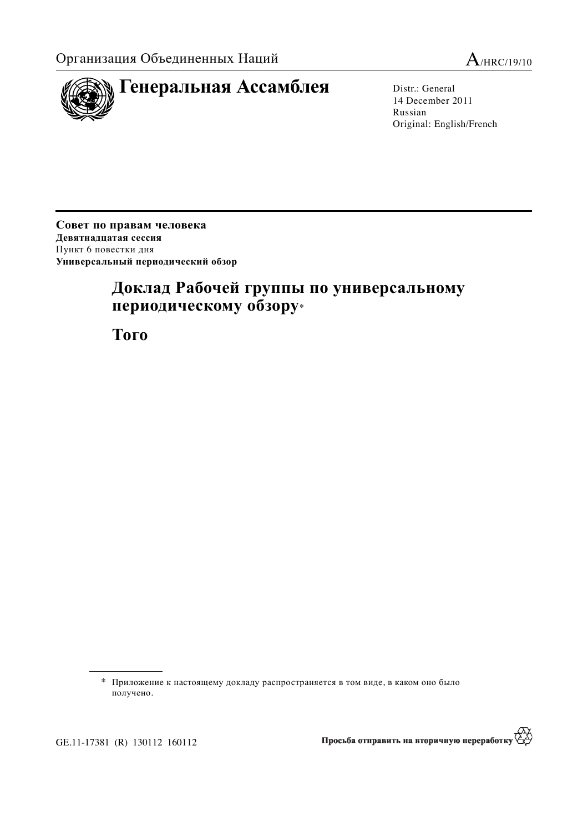



14 December 2011 Russian Original: English/French

Совет по правам человека Девятнадцатая сессия Пункт 6 повестки дня Универсальный периодический обзор

# Доклад Рабочей группы по универсальному периодическому обзору\*

**Того** 

<sup>\*</sup> Приложение к настоящему докладу распространяется в том виде, в каком оно было получено.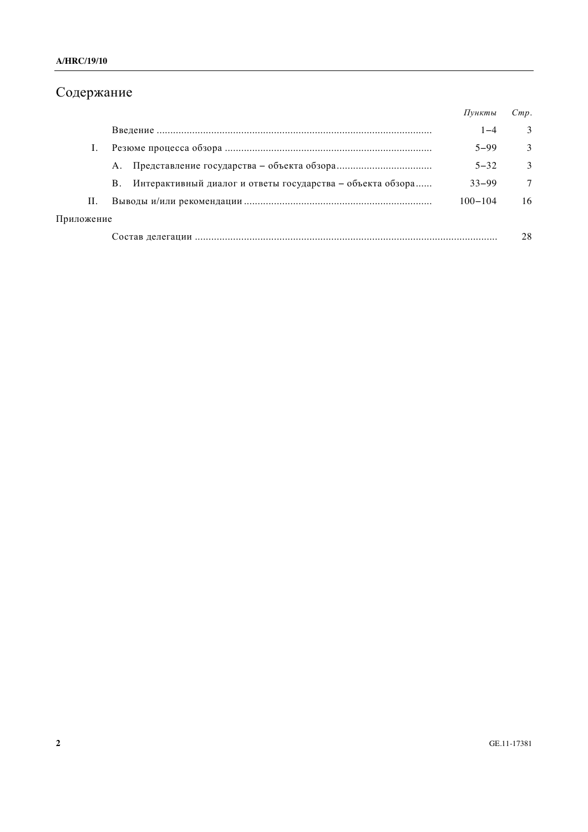## Содержание

|            |                                                                  | Пункты      | Cmp.   |
|------------|------------------------------------------------------------------|-------------|--------|
|            |                                                                  | $1 - 4$     | 3      |
|            |                                                                  | $5 - 99$    | 3      |
|            | A.                                                               | $5 - 32$    | 3      |
|            | Интерактивный диалог и ответы государства – объекта обзора<br>B. | $33 - 99$   | $\tau$ |
| П.         |                                                                  | $100 - 104$ | 16     |
| Приложение |                                                                  |             |        |
|            |                                                                  |             | 28     |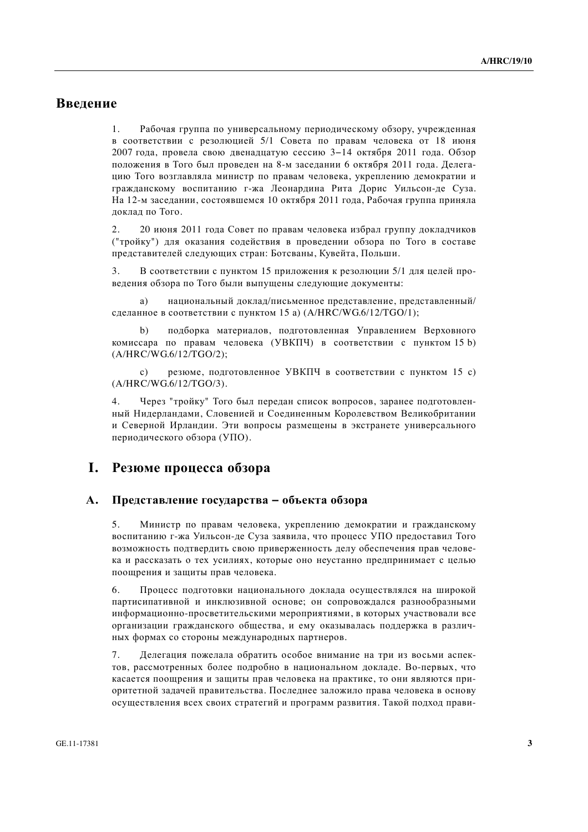## **Введение**

1. Рабочая группа по универсальному периодическому обзору, учрежденная в соответствии с резолюцией 5/1 Совета по правам человека от 18 июня 2007 года, провела свою двенадцатую сессию 3-14 октября 2011 года. Обзор положения в Того был проведен на 8-м заседании 6 октября 2011 года. Делегацию Того возглавляла министр по правам человека, укреплению демократии и гражданскому воспитанию г-жа Леонардина Рита Дорис Уильсон-де Суза. На 12-м заседании, состоявшемся 10 октября 2011 года, Рабочая группа приняла доклад по Того.

2. 20 июня 2011 года Совет по правам человека избрал группу докладчиков ("тройку") для оказания содействия в проведении обзора по Того в составе представителей следующих стран: Ботсваны, Кувейта, Польши.

3. В соответствии с пунктом 15 приложения к резолюции 5/1 для целей проведения обзора по Того были выпущены следующие документы:

а) национальный доклад/письменное представление, представленный/ сделанное в соответствии с пунктом 15 а) (A/HRC/WG.6/12/TGO/1);

подборка материалов, подготовленная Управлением Верховного комиссара по правам человека (УВКПЧ) в соответствии с пунктом 15 b) (A/HRC/WG.6/12/TGO/2);

c) резюме, подготовленное УВКПЧ в соответствии с пунктом 15 c) (A/HRC/WG.6/12/TGO/3).

4. Через "тройку" Того был передан список вопросов, заранее подготовленный Нидерландами, Словенией и Соединенным Королевством Великобритании и Северной Ирландии. Эти вопросы размещены в экстранете универсального периодического обзора (УПО).

### **І.** Резюме процесса обзора

#### **А.** Представление государства – объекта обзора

5. Министр по правам человека, укреплению демократии и гражданскому воспитанию г-жа Уильсон-де Суза заявила, что процесс УПО предоставил Того возможность подтвердить свою приверженность делу обеспечения прав человека и рассказать о тех усилиях, которые оно неустанно предпринимает с целью поощрения и защиты прав человека.

6. Процесс подготовки национального доклада осуществлялся на широкой партисипативной и инклюзивной основе: он сопровождался разнообразными информационно-просветительскими мероприятиями, в которых участвовали все организации гражданского общества, и ему оказывалась поддержка в различных формах со стороны международных партнеров.

7. Иелегация пожелала обратить особое внимание на три из восьми аспектов, рассмотренных более подробно в национальном докладе. Во-первых, что касается поощрения и защиты прав человека на практике, то они являются приоритетной задачей правительства. Последнее заложило права человека в основу осуществления всех своих стратегий и программ развития. Такой подход прави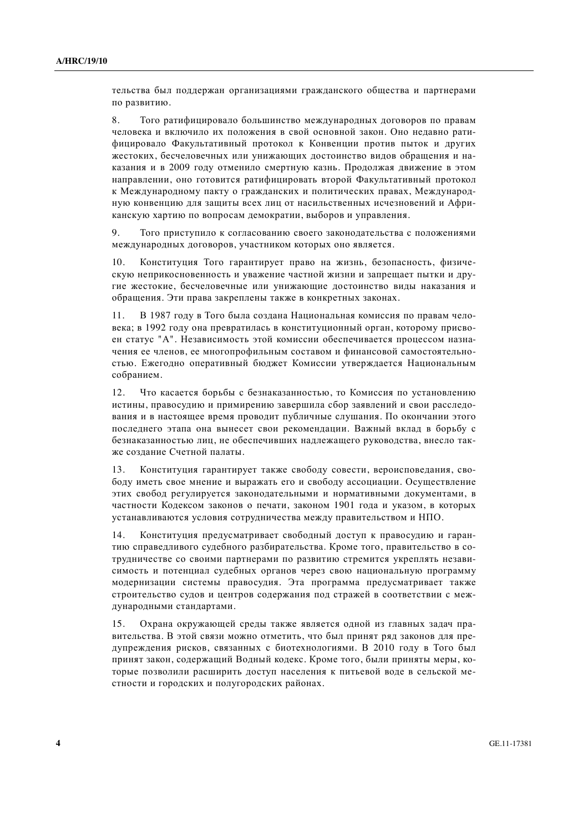тельства был поддержан организациями гражданского общества и партнерами по развитию.

8. Того ратифицировало большинство международных договоров по правам человека и включило их положения в свой основной закон. Оно недавно ратифицировало Факультативный протокол к Конвенции против пыток и других жестоких, бесчеловечных или унижающих достоинство видов обращения и наказания и в 2009 году отменило смертную казнь. Продолжая движение в этом направлении, оно готовится ратифицировать второй Факультативный протокол к Международному пакту о гражданских и политических правах, Международную конвенцию для защиты всех лиц от насильственных исчезновений и Африканскую хартию по вопросам демократии, выборов и управления.

9. Того приступило к согласованию своего законодательства с положениями международных договоров, участником которых оно является.

10. Конституция Того гарантирует право на жизнь, безопасность, физическую неприкосновенность и уважение частной жизни и запрещает пытки и другие жестокие, бесчеловечные или унижающие лостоинство вилы наказания и обращения. Эти права закреплены также в конкретных законах.

11. В 1987 году в Того была создана Национальная комиссия по правам человека; в 1992 году она превратилась в конституционный орган, которому присвоен статус "А". Независимость этой комиссии обеспечивается процессом назначения ее членов, ее многопрофильным составом и финансовой самостоятельностью. Ежеголно оперативный бюлжет Комиссии утвержлается Национальным собранием.

12. Что касается борьбы с безнаказанностью, то Комиссия по установлению истины, правосудию и примирению завершила сбор заявлений и свои расследования и в настоящее время проводит публичные слушания. По окончании этого последнего этапа она вынесет свои рекомендации. Важный вклад в борьбу с безнаказанностью лиц, не обеспечивших надлежащего руководства, внесло также создание Счетной палаты.

13. Конституция гарантирует также свободу совести, вероисповедания, свободу иметь свое мнение и выражать его и свободу ассоциации. Осуществление этих свобол регулируется законолательными и нормативными локументами, в частности Колексом законов о печати, законом 1901 года и указом, в которых устанавливаются условия сотрудничества между правительством и НПО.

14. Конституция предусматривает свободный доступ к правосудию и гарантию справедливого судебного разбирательства. Кроме того, правительство в сотрудничестве со своими партнерами по развитию стремится укреплять независимость и потенциал судебных органов через свою национальную программу модернизации системы правосудия. Эта программа предусматривает также строительство судов и центров содержания под стражей в соответствии с международными стандартами.

15. Охрана окружающей среды также является одной из главных задач правительства. В этой связи можно отметить, что был принят ряд законов для предупреждения рисков, связанных с биотехнологиями. В 2010 году в Того был принят закон, содержащий Водный кодекс. Кроме того, были приняты меры, которые позволили расширить доступ населения к питьевой воде в сельской местности и городских и полугородских районах.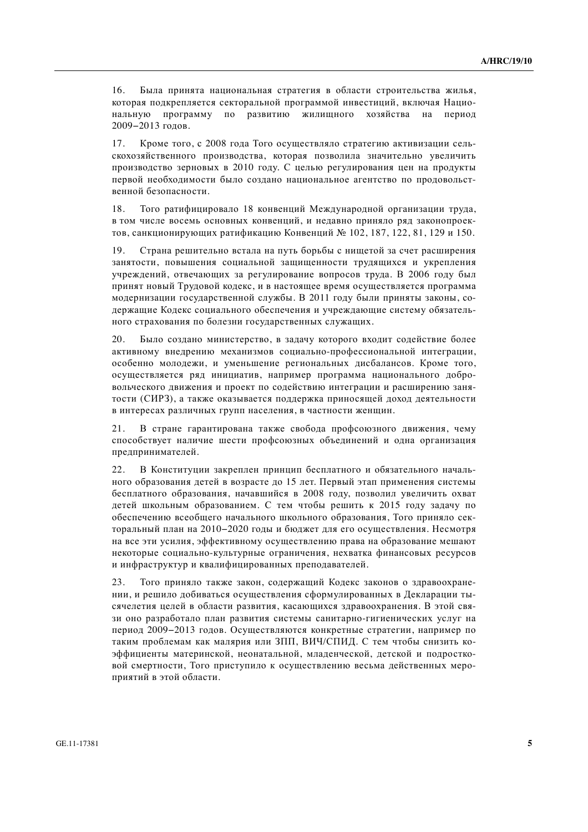16. Была принята национальная стратегия в области строительства жилья, которая подкрепляется секторальной программой инвестиций, включая Национальную программу по развитию жилищного хозяйства на период 2009-2013 годов.

17. Кроме того, с 2008 года Того осуществляло стратегию активизации сельскохозяйственного производства, которая позволила значительно увеличить производство зерновых в 2010 году. С целью регулирования цен на продукты первой необходимости было создано национальное агентство по продовольственной безопасности.

18. Того ратифицировало 18 конвенций Международной организации труда, в том числе восемь основных конвенций, и недавно приняло ряд законопроектов, санкционирующих ратификацию Конвенций № 102, 187, 122, 81, 129 и 150.

19. Страна решительно встала на путь борьбы с нищетой за счет расширения занятости, повышения социальной защищенности трудящихся и укрепления учреждений, отвечающих за регулирование вопросов труда. В 2006 году был принят новый Трудовой кодекс, и в настоящее время осуществляется программа модернизации государственной службы. В 2011 году были приняты законы, содержащие Кодекс социального обеспечения и учреждающие систему обязательного страхования по болезни госуларственных служаших.

20. Было создано министерство, в задачу которого входит содействие более активному внедрению механизмов социально-профессиональной интеграции, особенно молодежи, и уменьшение региональных лисбалансов. Кроме того, осуществляется ряд инициатив, например программа национального добровольческого движения и проект по содействию интеграции и расширению занятости (СИРЗ), а также оказывается поддержка приносящей доход деятельности в интересах различных групп населения, в частности женщин.

21. В стране гарантирована также свобода профсоюзного движения, чему способствует наличие шести профсоюзных объединений и одна организация предпринимателей.

22. В Конституции закреплен принцип бесплатного и обязательного начального образования детей в возрасте до 15 лет. Первый этап применения системы бесплатного образования, начавшийся в 2008 году, позволил увеличить охват детей школьным образованием. С тем чтобы решить к 2015 году задачу по обеспечению всеобщего начального школьного образования, Того приняло секторальный план на 2010-2020 годы и бюджет для его осуществления. Несмотря на все эти усилия, эффективному осуществлению права на образование мешают некоторые социально-культурные ограничения, нехватка финансовых ресурсов и инфраструктур и квалифицированных преподавателей.

23. Того приняло также закон, содержащий Кодекс законов о здравоохранении, и решило добиваться осуществления сформулированных в Декларации тысячелетия целей в области развития, касающихся здравоохранения. В этой связи оно разработало план развития системы санитарно-гигиенических услуг на период 2009-2013 годов. Осуществляются конкретные стратегии, например по таким проблемам как малярия или ЗПП, ВИЧ/СПИД. С тем чтобы снизить коэффициенты материнской, неонатальной, младенческой, детской и подростковой смертности, Того приступило к осуществлению весьма действенных мероприятий в этой области.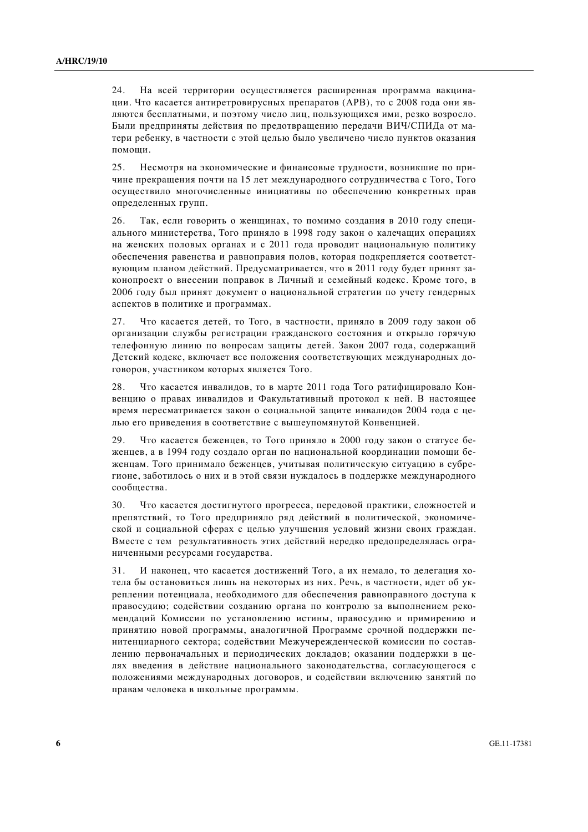24. На всей территории осуществляется расширенная программа вакцинации. Что касается антиретровирусных препаратов (APB), то с 2008 года они являются бесплатными, и поэтому число лиц, пользующихся ими, резко возросло. Были предприняты действия по предотвращению передачи ВИЧ/СПИДа от матери ребенку, в частности с этой целью было увеличено число пунктов оказания помоши.

25. Несмотря на экономические и финансовые трудности, возникшие по причине прекрашения почти на 15 лет международного сотрудничества с Того, Того осуществило многочисленные инициативы по обеспечению конкретных прав определенных групп.

26. Так, если говорить о женщинах, то помимо создания в 2010 году специального министерства, Того приняло в 1998 году закон о калечащих операциях на женских половых органах и с 2011 года проводит национальную политику обеспечения равенства и равноправия полов, которая подкрепляется соответствующим планом действий. Предусматривается, что в 2011 году будет принят законопроект о внесении поправок в Личный и семейный колекс. Кроме того, в 2006 году был принят документ о национальной стратегии по учету гендерных аспектов в политике и программах.

27. Что касается летей, то Того, в частности, приняло в 2009 голу закон об организации службы регистрации гражданского состояния и открыло горячую телефонную линию по вопросам защиты детей. Закон 2007 года, содержащий Детский кодекс, включает все положения соответствующих международных договоров, участником которых является Того.

28. Что касается инвалидов, то в марте 2011 года Того ратифицировало Конвенцию о правах инвалидов и Факультативный протокол к ней. В настоящее время пересматривается закон о социальной зашите инвалилов 2004 года с целью его приведения в соответствие с вышеупомянутой Конвенцией.

29. Что касается беженцев, то Того приняло в 2000 году закон о статусе бежениев, а в 1994 году создало орган по национальной координации помощи беженцам. Того принимало беженцев, учитывая политическую ситуацию в субрегионе, заботилось о них и в этой связи нуждалось в поддержке международного сообшества.

30. Что касается достигнутого прогресса, передовой практики, сложностей и препятствий, то Того предприняло ряд действий в политической, экономической и социальной сферах с целью улучшения условий жизни своих граждан. Вместе с тем результативность этих действий нередко предопределялась ограниченными ресурсами государства.

31. И наконец, что касается достижений Того, а их немало, то делегация хотела бы остановиться лишь на некоторых из них. Речь, в частности, идет об укреплении потенциала, необходимого для обеспечения равноправного доступа к правосудию; содействии созданию органа по контролю за выполнением рекомендаций Комиссии по установлению истины, правосудию и примирению и принятию новой программы, аналогичной Программе срочной поддержки пенитенциарного сектора; содействии Межучережденческой комиссии по составлению первоначальных и периодических докладов; оказании поддержки в целях введения в действие национального законодательства, согласующегося с положениями международных договоров, и содействии включению занятий по правам человека в школьные программы.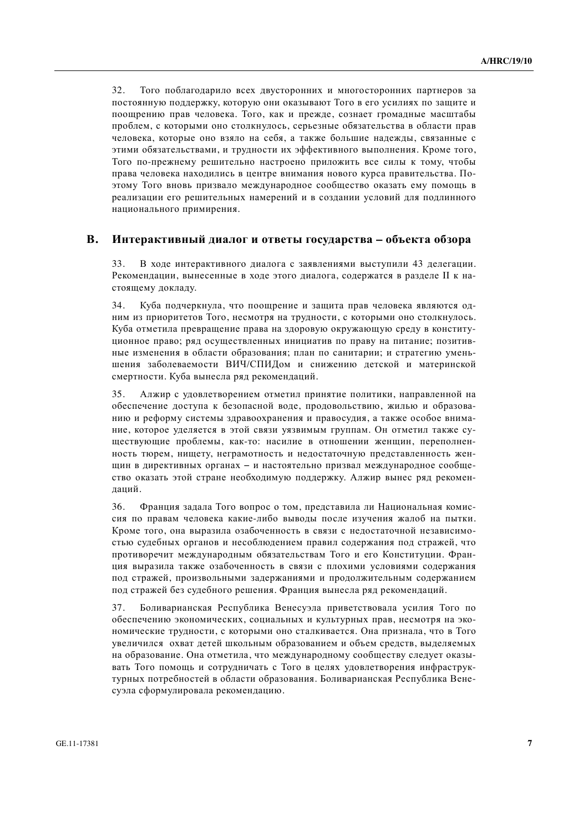32. Того поблагодарило всех двусторонних и многосторонних партнеров за постоянную поддержку, которую они оказывают Того в его усилиях по защите и поощрению прав человека. Того, как и прежде, сознает громадные масштабы проблем, с которыми оно столкнулось, серьезные обязательства в области прав человека, которые оно взяло на себя, а также большие належды, связанные с этими обязательствами, и трудности их эффективного выполнения. Кроме того, Того по-прежнему решительно настроено приложить все силы к тому, чтобы права человека находились в центре внимания нового курса правительства. Поэтому Того вновь призвало международное сообщество оказать ему помощь в реализации его решительных намерений и в создании условий для подлинного национального примирения.

#### В. Интерактивный диалог и ответы государства – объекта обзора

33. В ходе интерактивного диалога с заявлениями выступили 43 делегации. Рекомендации, вынесенные в ходе этого диалога, содержатся в разделе II к настоящему докладу.

34. Куба подчеркнула, что поощрение и защита прав человека являются одним из приоритетов Того, несмотря на трудности, с которыми оно столкнулось. Куба отметила превращение права на здоровую окружающую среду в конституционное право; ряд осуществленных инициатив по праву на питание; позитивные изменения в области образования: план по санитарии: и стратегию уменьшения заболеваемости ВИЧ/СПИДом и снижению детской и материнской смертности. Куба вынесла ряд рекомендаций.

35. Алжир с удовлетворением отметил принятие политики, направленной на обеспечение доступа к безопасной воде, продовольствию, жилью и образованию и реформу системы здравоохранения и правосудия, а также особое внимание, которое уделяется в этой связи уязвимым группам. Он отметил также существующие проблемы, как-то: насилие в отношении женщин, переполненность тюрем, нищету, неграмотность и недостаточную представленность женщин в директивных органах – и настоятельно призвал международное сообщество оказать этой стране необходимую поддержку. Алжир вынес ряд рекоменлаций.

36. Франция задала Того вопрос о том, представила ли Национальная комиссия по правам человека какие-либо выводы после изучения жалоб на пытки. Кроме того, она выразила озабоченность в связи с недостаточной независимостью судебных органов и несоблюдением правил содержания под стражей, что противоречит международным обязательствам Того и его Конституции. Франция выразила также озабоченность в связи с плохими условиями содержания под стражей, произвольными задержаниями и продолжительным содержанием под стражей без судебного решения. Франция вынесла ряд рекомендаций.

37. Боливарианская Республика Венесуэла приветствовала усилия Того по обеспечению экономических, социальных и культурных прав, несмотря на экономические трудности, с которыми оно сталкивается. Она признала, что в Того увеличился охват детей школьным образованием и объем средств, выделяемых на образование. Она отметила, что международному сообществу следует оказывать Того помощь и сотрудничать с Того в целях удовлетворения инфраструктурных потребностей в области образования. Боливарианская Республика Венесуэла сформулировала рекомендацию.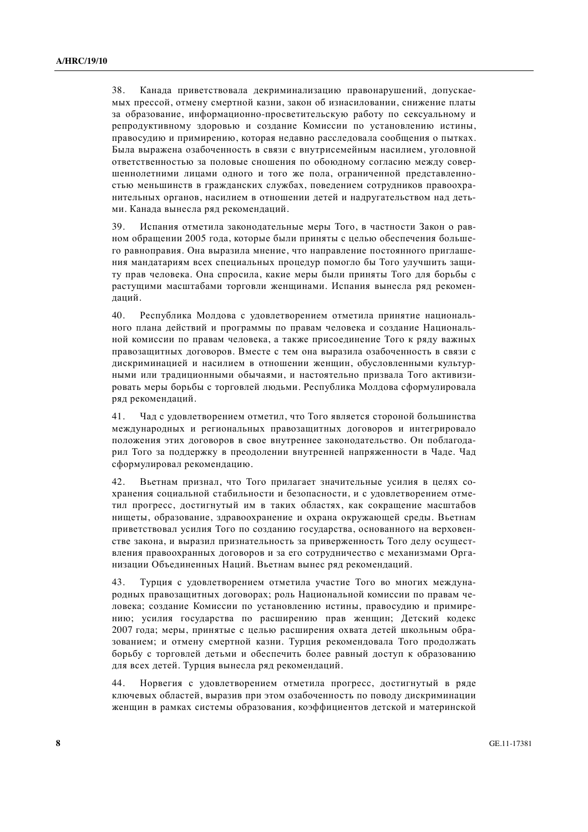38. Канада приветствовала декриминализацию правонарушений, допускаемых прессой, отмену смертной казни, закон об изнасиловании, снижение платы за образование, информационно-просветительскую работу по сексуальному и репродуктивному здоровью и создание Комиссии по установлению истины, правосудию и примирению, которая недавно расследовала сообщения о пытках. Была выражена озабоченность в связи с внутрисемейным насилием, уголовной ответственностью за половые сношения по обоюдному согласию между совершеннолетними лицами одного и того же пола, ограниченной представленностью меньшинств в гражданских службах, поведением сотрудников правоохранительных органов, насилием в отношении детей и надругательством над детьми. Канада вынесла ряд рекомендаций.

39. Испания отметила законодательные меры Того, в частности Закон о равном обрашении 2005 года, которые были приняты с целью обеспечения большего равноправия. Она выразила мнение, что направление постоянного приглашения мандатариям всех специальных процедур помогло бы Того улучшить защиту прав человека. Она спросила, какие меры были приняты Того для борьбы с растущими масштабами торговли женщинами. Испания вынесла ряд рекоменлаций.

40. Республика Молдова с удовлетворением отметила принятие национального плана лействий и программы по правам человека и созлание Напиональной комиссии по правам человека, а также присоединение Того к ряду важных правозащитных договоров. Вместе с тем она выразила озабоченность в связи с дискриминацией и насилием в отношении женщин, обусловленными культурными или традиционными обычаями, и настоятельно призвала Того активизировать меры борьбы с торговлей людьми. Республика Молдова сформулировала ряд рекомендаций.

41. Чад с удовлетворением отметил, что Того является стороной большинства международных и региональных правозащитных договоров и интегрировало положения этих договоров в свое внутреннее законодательство. Он поблагодарил Того за поддержку в преодолении внутренней напряженности в Чаде. Чад сформулировал рекомендацию.

42. Вьетнам признал, что Того прилагает значительные усилия в целях сохранения социальной стабильности и безопасности, и с удовлетворением отметил прогресс, достигнутый им в таких областях, как сокращение масштабов нищеты, образование, здравоохранение и охрана окружающей среды. Вьетнам приветствовал усилия Того по созданию государства, основанного на верховенстве закона, и выразил признательность за приверженность Того делу осуществления правоохранных договоров и за его сотрудничество с механизмами Организации Объединенных Наций. Вьетнам вынес ряд рекомендаций.

43. Турция с удовлетворением отметила участие Того во многих международных правозащитных договорах; роль Национальной комиссии по правам человека; создание Комиссии по установлению истины, правосудию и примирению; усилия государства по расширению прав женщин; Детский кодекс 2007 года; меры, принятые с целью расширения охвата детей школьным образованием; и отмену смертной казни. Турция рекомендовала Того продолжать борьбу с торговлей детьми и обеспечить более равный доступ к образованию для всех детей. Турция вынесла ряд рекомендаций.

44. Норвегия с удовлетворением отметила прогресс, достигнутый в ряде ключевых областей, выразив при этом озабоченность по поводу дискриминации женщин в рамках системы образования, коэффициентов детской и материнской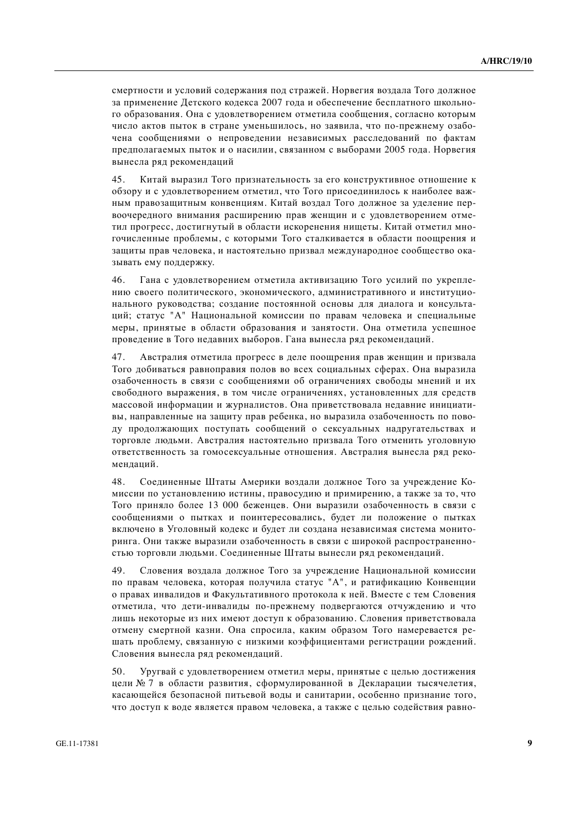смертности и условий содержания под стражей. Норвегия воздала Того должное за применение Детского кодекса 2007 года и обеспечение бесплатного школьного образования. Она с удовлетворением отметила сообщения, согласно которым число актов пыток в стране уменьшилось, но заявила, что по-прежнему озабочена сообшениями о непровелении независимых расслелований по фактам предполагаемых пыток и о насилии, связанном с выборами 2005 года. Норвегия вынесла ряд рекомендаций

45. Китай выразил Того признательность за его конструктивное отношение к обзору и с удовлетворением отметил, что Того присоединилось к наиболее важным правозашитным конвенциям. Китай воздал Того должное за уделение первоочередного внимания расширению прав женщин и с удовлетворением отметил прогресс, достигнутый в области искоренения нищеты. Китай отметил многочисленные проблемы, с которыми Того сталкивается в области поошрения и зашиты прав человека, и настоятельно призвал межлународное сообшество оказывать ему поддержку.

46. Гана с удовлетворением отметила активизацию Того усилий по укреплению своего политического, экономического, административного и институционального руководства; создание постоянной основы для диалога и консультаций; статус "А" Национальной комиссии по правам человека и специальные меры, принятые в области образования и занятости. Она отметила успешное проведение в Того недавних выборов. Гана вынесла ряд рекомендаций.

47. Австралия отметила прогресс в деле поощрения прав женщин и призвала Того лобиваться равноправия полов во всех социальных сферах. Она выразила озабоченность в связи с сообщениями об ограничениях свободы мнений и их свободного выражения, в том числе ограничениях, установленных для средств массовой информации и журналистов. Она приветствовала недавние инициативы, направленные на защиту прав ребенка, но выразила озабоченность по поводу продолжающих поступать сообщений о сексуальных надругательствах и торговле людьми. Австралия настоятельно призвала Того отменить уголовную ответственность за гомосексуальные отношения. Австралия вынесла рял рекоменланий.

48. Соединенные Штаты Америки воздали должное Того за учреждение Комиссии по установлению истины, правосудию и примирению, а также за то, что Того приняло более 13 000 беженцев. Они выразили озабоченность в связи с сообщениями о пытках и поинтересовались, будет ли положение о пытках включено в Уголовный кодекс и будет ли создана независимая система мониторинга. Они также выразили озабоченность в связи с широкой распространенностью торговли людьми. Соединенные Штаты вынесли ряд рекомендаций.

49. Словения воздала должное Того за учреждение Национальной комиссии по правам человека, которая получила статус "А", и ратификацию Конвенции о правах инвалидов и Факультативного протокола к ней. Вместе с тем Словения отметила, что дети-инвалиды по-прежнему подвергаются отчуждению и что лишь некоторые из них имеют доступ к образованию. Словения приветствовала отмену смертной казни. Она спросила, каким образом Того намеревается решать проблему, связанную с низкими коэффициентами регистрации рождений. Словения вынесла ряд рекомендаций.

50. Уругвай с удовлетворением отметил меры, принятые с целью достижения цели № 7 в области развития, сформулированной в Декларации тысячелетия, касающейся безопасной питьевой воды и санитарии, особенно признание того, что доступ к воде является правом человека, а также с целью содействия равно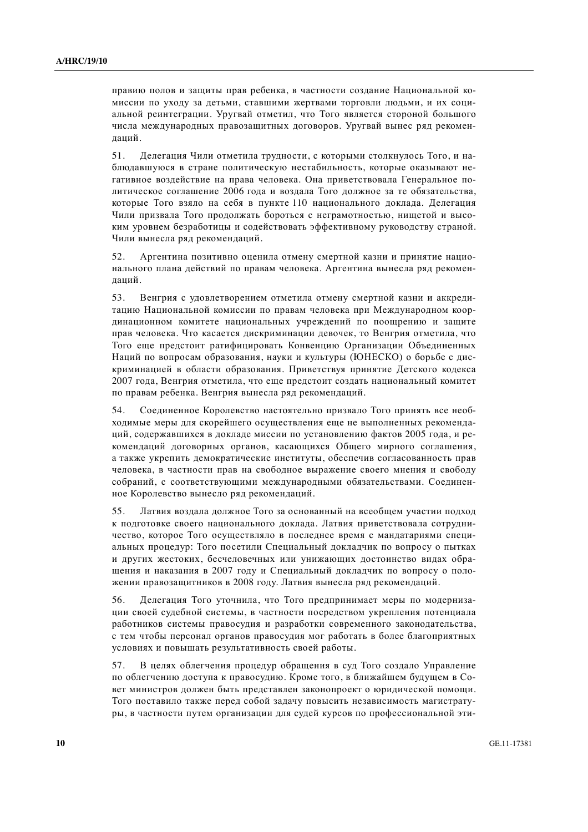правию полов и защиты прав ребенка, в частности создание Национальной комиссии по уходу за детьми, ставшими жертвами торговли людьми, и их социальной реинтеграции. Уругвай отметил, что Того является стороной большого числа международных правозащитных договоров. Уругвай вынес ряд рекоменлапий.

51. Делегация Чили отметила трудности, с которыми столкнулось Того, и наблюдавшуюся в стране политическую нестабильность, которые оказывают негативное воздействие на права человека. Она приветствовала Генеральное политическое соглашение 2006 года и воздала Того должное за те обязательства, которые Того взяло на себя в пункте 110 национального локлала. Делегация Чили призвала Того продолжать бороться с неграмотностью, нищетой и высоким уровнем безработицы и содействовать эффективному руководству страной. Чили вынесла ряд рекомендаций.

52. Аргентина позитивно оценила отмену смертной казни и принятие национального плана действий по правам человека. Аргентина вынесла ряд рекоменлапий.

53. Венгрия с удовлетворением отметила отмену смертной казни и аккредитацию Национальной комиссии по правам человека при Международном координационном комитете национальных учреждений по поошрению и зашите прав человека. Что касается дискриминации девочек, то Венгрия отметила, что Того еще предстоит ратифицировать Конвенцию Организации Объединенных Наций по вопросам образования, науки и культуры (ЮНЕСКО) о борьбе с дискриминацией в области образования. Приветствуя принятие Летского колекса 2007 года, Венгрия отметила, что еще предстоит создать национальный комитет по правам ребенка. Венгрия вынесла ряд рекомендаций.

54. Соелиненное Королевство настоятельно призвало Того принять все необходимые меры для скорейшего осуществления еще не выполненных рекомендаций, содержавшихся в докладе миссии по установлению фактов 2005 года, и рекомендаций договорных органов, касающихся Общего мирного соглашения, а также укрепить демократические институты, обеспечив согласованность прав человека, в частности прав на свободное выражение своего мнения и свободу собраний, с соответствующими международными обязательствами. Соединенное Королевство вынесло ряд рекомендаций.

55. Латвия воздала должное Того за основанный на всеобщем участии подход к подготовке своего национального доклада. Латвия приветствовала сотрудничество, которое Того осуществляло в последнее время с мандатариями специальных процедур: Того посетили Специальный докладчик по вопросу о пытках и других жестоких, бесчеловечных или унижающих достоинство видах обращения и наказания в 2007 году и Специальный докладчик по вопросу о положении правозащитников в 2008 году. Латвия вынесла ряд рекомендаций.

56. Делегация Того уточнила, что Того предпринимает меры по модернизации своей судебной системы, в частности посредством укрепления потенциала работников системы правосудия и разработки современного законодательства, с тем чтобы персонал органов правосудия мог работать в более благоприятных условиях и повышать результативность своей работы.

57. В целях облегчения процедур обращения в суд Того создало Управление по облегчению доступа к правосудию. Кроме того, в ближайшем будущем в Совет министров должен быть представлен законопроект о юридической помощи. Того поставило также перед собой задачу повысить независимость магистратуры, в частности путем организации для судей курсов по профессиональной эти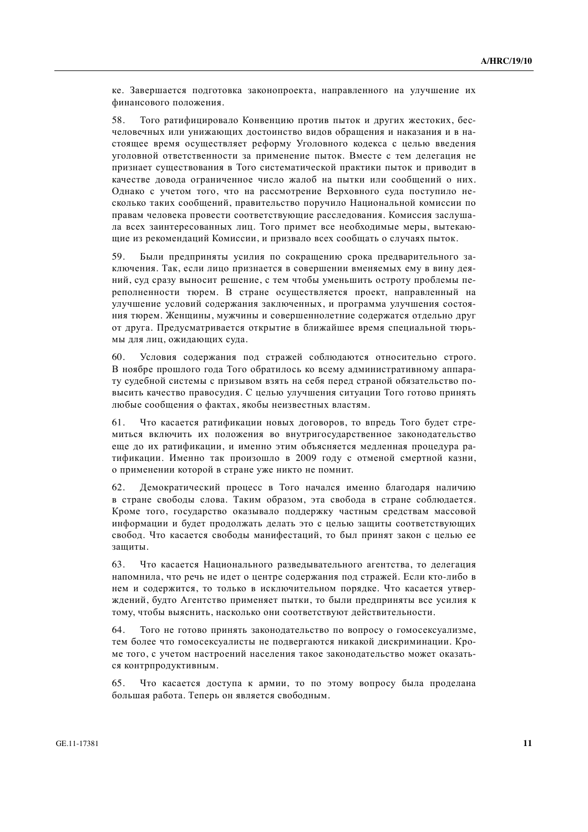ке. Завершается подготовка законопроекта, направленного на улучшение их финансового положения.

58. Того ратифицировало Конвенцию против пыток и других жестоких, бесчеловечных или унижающих достоинство видов обращения и наказания и в настоящее время осуществляет реформу Уголовного кодекса с целью введения уголовной ответственности за применение пыток. Вместе с тем делегация не признает существования в Того систематической практики пыток и приводит в качестве довода ограниченное число жалоб на пытки или сообшений о них. Однако с учетом того, что на рассмотрение Верховного суда поступило несколько таких сообщений, правительство поручило Национальной комиссии по правам человека провести соответствующие расследования. Комиссия заслушала всех заинтересованных лиц. Того примет все необходимые меры, вытекающие из рекомендаций Комиссии, и призвало всех сообщать о случаях пыток.

59. Были предприняты усилия по сокращению срока предварительного заключения. Так, если лицо признается в совершении вменяемых ему в вину деяний, сул сразу выносит решение, с тем чтобы уменьшить остроту проблемы переполненности тюрем. В стране осуществляется проект, направленный на улучшение условий содержания заключенных, и программа улучшения состояния тюрем. Женщины, мужчины и совершеннолетние содержатся отдельно друг от друга. Предусматривается открытие в ближайшее время специальной тюрьмы для лиц, ожидающих суда.

60. Условия содержания под стражей соблюдаются относительно строго. В ноябре прошлого гола Того обратилось ко всему алминистративному аппарату судебной системы с призывом взять на себя перед страной обязательство повысить качество правосудия. С целью улучшения ситуации Того готово принять любые сообщения о фактах, якобы неизвестных властям.

61. Что касается ратификации новых договоров, то впредь Того будет стремиться включить их положения во внутригосударственное законодательство еще до их ратификации, и именно этим объясняется медленная процедура ратификации. Именно так произошло в 2009 году с отменой смертной казни, о применении которой в стране уже никто не помнит.

62. Демократический процесс в Того начался именно благодаря наличию в стране свободы слова. Таким образом, эта свобода в стране соблюдается. Кроме того, государство оказывало поддержку частным средствам массовой информации и будет продолжать делать это с целью защиты соответствующих свобод. Что касается свободы манифестаций, то был принят закон с целью ее зашиты.

63. Что касается Национального разведывательного агентства, то делегация напомнила, что речь не идет о центре содержания под стражей. Если кто-либо в нем и содержится, то только в исключительном порядке. Что касается утверждений, будто Агентство применяет пытки, то были предприняты все усилия к тому, чтобы выяснить, насколько они соответствуют действительности.

64. Того не готово принять законодательство по вопросу о гомосексуализме, тем более что гомосексуалисты не подвергаются никакой дискриминации. Кроме того, с учетом настроений населения такое законодательство может оказаться контрпродуктивным.

65. Что касается доступа к армии, то по этому вопросу была проделана большая работа. Теперь он является свободным.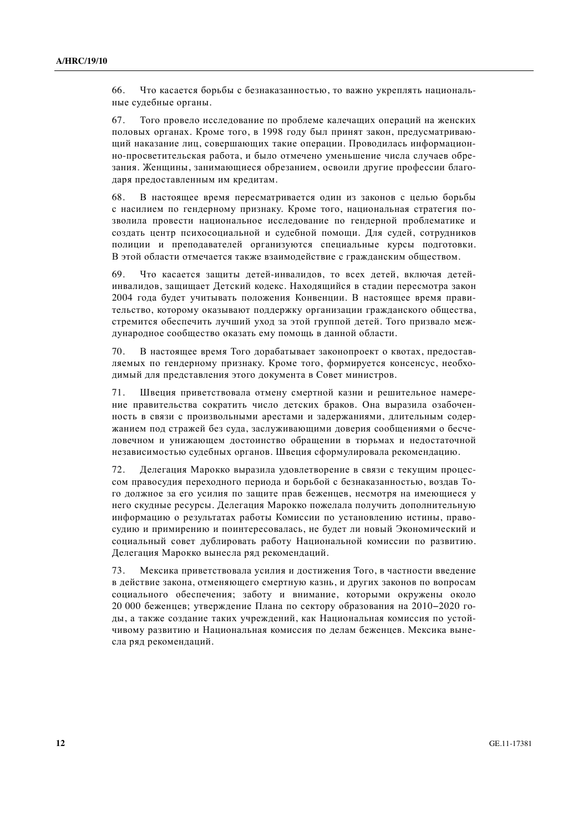66. Что касается борьбы с безнаказанностью, то важно укреплять национальные судебные органы.

67. Того провело исследование по проблеме калечащих операций на женских половых органах. Кроме того, в 1998 году был принят закон, предусматривающий наказание лиц, совершающих такие операции. Проводилась информационно-просветительская работа, и было отмечено уменьшение числа случаев обрезания. Женщины, занимающиеся обрезанием, освоили другие профессии благодаря предоставленным им кредитам.

68. В настоящее время пересматривается один из законов с целью борьбы с насилием по гендерному признаку. Кроме того, национальная стратегия позволила провести национальное исследование по гендерной проблематике и создать центр психосоциальной и судебной помощи. Для судей, сотрудников полиции и преподавателей организуются специальные курсы подготовки. В этой области отмечается также взаимолействие с гражданским обществом.

69. Что касается защиты детей-инвалидов, то всех детей, включая детейинвалилов, зашишает Летский колекс. Нахоляшийся в сталии пересмотра закон 2004 года будет учитывать положения Конвенции. В настоящее время правительство, которому оказывают поллержку организации гражданского общества. стремится обеспечить лучший уход за этой группой детей. Того призвало международное сообщество оказать ему помощь в данной области.

70. В настоящее время Того дорабатывает законопроект о квотах, предоставляемых по гендерному признаку. Кроме того, формируется консенсус, необходимый для представления этого документа в Совет министров.

71. Швеция приветствовала отмену смертной казни и решительное намерение правительства сократить число детских браков. Она выразила озабоченность в связи с произвольными арестами и задержаниями, длительным содержанием под стражей без суда, заслуживающими доверия сообщениями о бесчеловечном и унижающем достоинство обращении в тюрьмах и недостаточной независимостью судебных органов. Швеция сформулировала рекомендацию.

72. Делегация Марокко выразила удовлетворение в связи с текущим процессом правосудия переходного периода и борьбой с безнаказанностью, воздав Того должное за его усилия по зашите прав беженцев, несмотря на имеющиеся у него скулные ресурсы. Делегация Марокко пожелала получить дополнительную информацию о результатах работы Комиссии по установлению истины, правосудию и примирению и поинтересовалась, не будет ли новый Экономический и социальный совет дублировать работу Национальной комиссии по развитию. Делегация Марокко вынесла ряд рекомендаций.

73. Мексика приветствовала усилия и достижения Того, в частности введение в действие закона, отменяющего смертную казнь, и других законов по вопросам социального обеспечения; заботу и внимание, которыми окружены около 20 000 беженцев; утверждение Плана по сектору образования на 2010–2020 годы, а также создание таких учреждений, как Национальная комиссия по устойчивому развитию и Национальная комиссия по делам беженцев. Мексика вынесла ряд рекомендаций.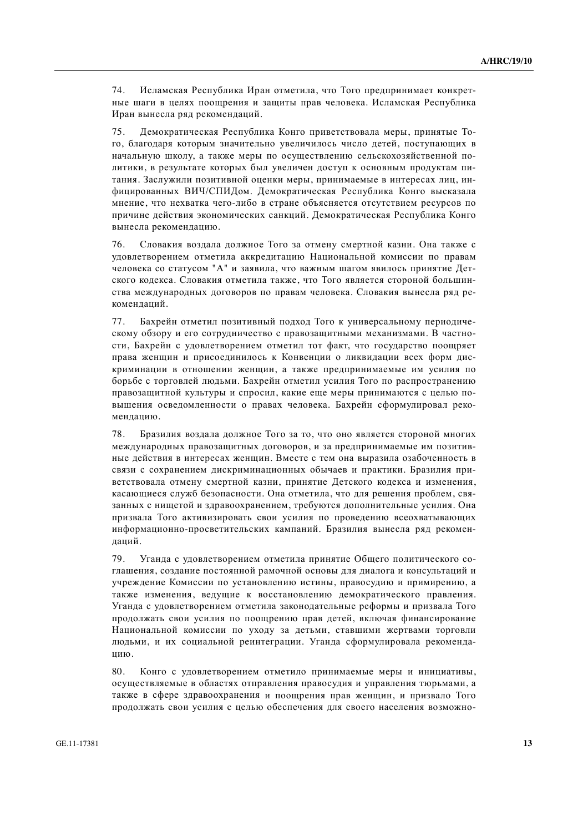74. Исламская Республика Иран отметила, что Того предпринимает конкретные шаги в целях поощрения и защиты прав человека. Исламская Республика Иран вынесла ряд рекомендаций.

75. Демократическая Республика Конго приветствовала меры, принятые Того, благодаря которым значительно увеличилось число детей, поступающих в начальную школу, а также меры по осуществлению сельскохозяйственной политики, в результате которых был увеличен доступ к основным продуктам питания. Заслужили позитивной оценки меры. принимаемые в интересах лиц. инфицированных ВИЧ/СПИДом. Демократическая Республика Конго высказала мнение, что нехватка чего-либо в стране объясняется отсутствием ресурсов по причине действия экономических санкций. Демократическая Республика Конго вынесла рекомендацию.

76. Словакия воздала должное Того за отмену смертной казни. Она также с удовлетворением отметила аккредитацию Национальной комиссии по правам человека со статусом "А" и заявила, что важным шагом явилось принятие Детского колекса. Словакия отметила также, что Того является стороной большинства международных договоров по правам человека. Словакия вынесла ряд рекомендаций.

77. Бахрейн отметил позитивный полхол Того к универсальному периолическому обзору и его сотрудничество с правозашитными механизмами. В частности, Бахрейн с удовлетворением отметил тот факт, что государство поощряет права женщин и присоединилось к Конвенции о ликвидации всех форм дискриминации в отношении женщин, а также предпринимаемые им усилия по борьбе с торговлей людьми. Бахрейн отметил усилия Того по распространению правозащитной культуры и спросил, какие еще меры принимаются с целью повышения осведомленности о правах человека. Бахрейн сформулировал рекомендацию.

78. Бразилия воздала должное Того за то, что оно является стороной многих международных правозащитных договоров, и за предпринимаемые им позитивные действия в интересах женщин. Вместе с тем она выразила озабоченность в связи с сохранением дискриминационных обычаев и практики. Бразилия приветствовала отмену смертной казни, принятие Детского кодекса и изменения, касающиеся служб безопасности. Она отметила, что для решения проблем, связанных с нишетой и здравоохранением, требуются дополнительные усилия. Она призвала Того активизировать свои усилия по проведению всеохватывающих информационно-просветительских кампаний. Бразилия вынесла ряд рекоменланий.

79. Уганда с удовлетворением отметила принятие Общего политического соглашения, создание постоянной рамочной основы для диалога и консультаций и учреждение Комиссии по установлению истины, правосудию и примирению, а также изменения, ведущие к восстановлению демократического правления. Уганда с удовлетворением отметила законодательные реформы и призвала Того продолжать свои усилия по поощрению прав детей, включая финансирование Национальной комиссии по уходу за детьми, ставшими жертвами торговли людьми, и их социальной реинтеграции. Уганда сформулировала рекомендацию.

80. Конго с удовлетворением отметило принимаемые меры и инициативы, осуществляемые в областях отправления правосудия и управления тюрьмами, а также в сфере здравоохранения и поощрения прав женщин, и призвало Того продолжать свои усилия с целью обеспечения для своего населения возможно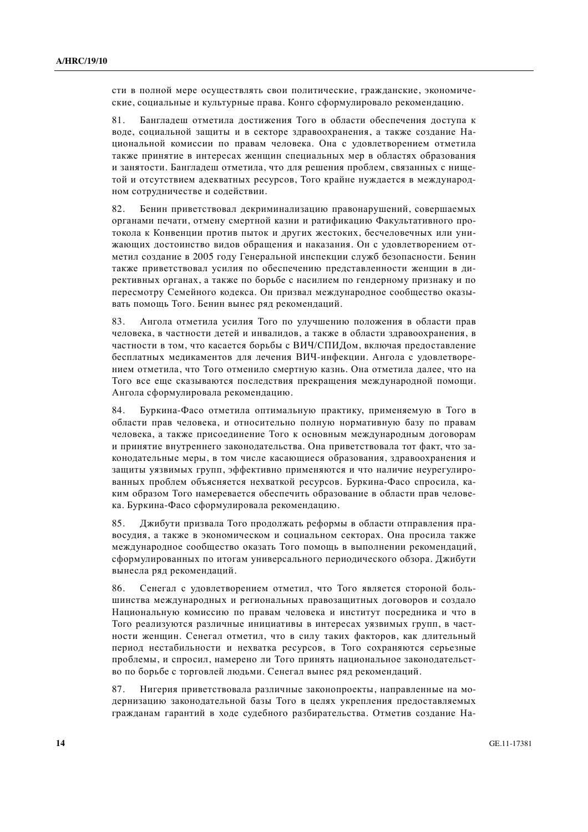сти в полной мере осуществлять свои политические, гражданские, экономические, социальные и культурные права. Конго сформулировало рекомендацию.

81. Бангладеш отметила достижения Того в области обеспечения доступа к воде, социальной защиты и в секторе здравоохранения, а также создание Национальной комиссии по правам человека. Она с удовлетворением отметила также принятие в интересах женшин специальных мер в областях образования и занятости. Бангладеш отметила, что для решения проблем, связанных с нищетой и отсутствием алекватных ресурсов. Того крайне нужлается в межлунаролном сотрудничестве и содействии.

82. Бенин приветствовал декриминализацию правонарушений, совершаемых органами печати, отмену смертной казни и ратификацию Факультативного протокола к Конвенции против пыток и других жестоких, бесчеловечных или унижающих достоинство видов обращения и наказания. Он с удовлетворением отметил создание в 2005 году Генеральной инспекции служб безопасности. Бенин также приветствовал усилия по обеспечению представленности женщин в директивных органах, а также по борьбе с насилием по гендерному признаку и по пересмотру Семейного кодекса. Он призвал международное сообщество оказывать помощь Того. Бенин вынес ряд рекомендаций.

83. Ангола отметила усилия Того по улучшению положения в области прав человека, в частности летей и инвалилов, а также в области злравоохранения, в частности в том, что касается борьбы с ВИЧ/СПИДом, включая предоставление бесплатных медикаментов для лечения ВИЧ-инфекции. Ангола с удовлетворением отметила, что Того отменило смертную казнь. Она отметила далее, что на Того все еще сказываются последствия прекращения международной помощи. Ангола сформулировала рекомендацию.

84. Буркина-Фасо отметила оптимальную практику, применяемую в Того в области прав человека, и относительно полную нормативную базу по правам человека, а также присоединение Того к основным международным договорам и принятие внутреннего законодательства. Она приветствовала тот факт, что законодательные меры, в том числе касающиеся образования, здравоохранения и защиты уязвимых групп, эффективно применяются и что наличие неурегулированных проблем объясняется нехваткой ресурсов. Буркина-Фасо спросила, каким образом Того намеревается обеспечить образование в области прав человека. Буркина-Фасо сформулировала рекомендацию.

85. Джибути призвала Того продолжать реформы в области отправления правосудия, а также в экономическом и социальном секторах. Она просила также международное сообщество оказать Того помощь в выполнении рекомендаций, сформулированных по итогам универсального периодического обзора. Джибути вынесла ряд рекомендаций.

86. Сенегал с удовлетворением отметил, что Того является стороной большинства международных и региональных правозащитных договоров и создало Национальную комиссию по правам человека и институт посредника и что в Того реализуются различные инициативы в интересах уязвимых групп, в частности женщин. Сенегал отметил, что в силу таких факторов, как длительный период нестабильности и нехватка ресурсов, в Того сохраняются серьезные проблемы, и спросил, намерено ли Того принять национальное законодательство по борьбе с торговлей людьми. Сенегал вынес ряд рекомендаций.

87. Нигерия приветствовала различные законопроекты, направленные на модернизацию законодательной базы Того в целях укрепления предоставляемых гражданам гарантий в ходе судебного разбирательства. Отметив создание На-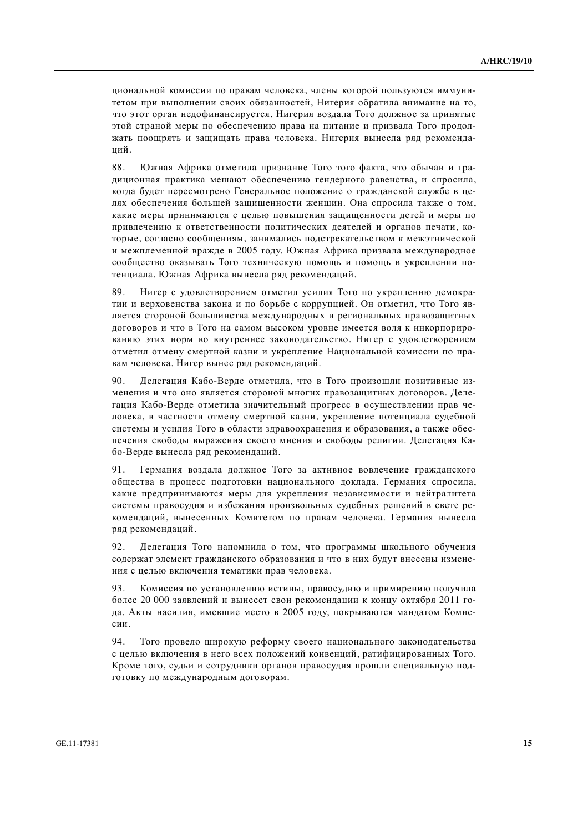циональной комиссии по правам человека, члены которой пользуются иммунитетом при выполнении своих обязанностей, Нигерия обратила внимание на то, что этот орган недофинансируется. Нигерия воздала Того должное за принятые этой страной меры по обеспечению права на питание и призвала Того продолжать поошрять и зашишать права человека. Нигерия вынесла ряд рекоменданий.

88. Южная Африка отметила признание Того того факта, что обычаи и традиционная практика мешают обеспечению гендерного равенства, и спросила, когда будет пересмотрено Генеральное положение о гражданской службе в целях обеспечения большей зашишенности женшин. Она спросила также о том, какие меры принимаются с целью повышения защищенности детей и меры по привлечению к ответственности политических деятелей и органов печати, которые, согласно сообшениям, занимались полстрекательством к межэтнической и межплеменной вражде в 2005 году. Южная Африка призвала международное сообщество оказывать Того техническую помощь и помощь в укреплении потенциала. Южная Африка вынесла ряд рекомендаций.

89. Нигер с удовлетворением отметил усилия Того по укреплению демократии и верховенства закона и по борьбе с коррупцией. Он отметил, что Того является стороной большинства международных и региональных правозащитных договоров и что в Того на самом высоком уровне имеется воля к инкорпорированию этих норм во внутреннее законодательство. Нигер с удовлетворением отметил отмену смертной казни и укрепление Национальной комиссии по правам человека. Нигер вынес ряд рекомендаций.

90. Делегация Кабо-Верде отметила, что в Того произошли позитивные изменения и что оно является стороной многих правозащитных договоров. Делегация Кабо-Верде отметила значительный прогресс в осуществлении прав человека, в частности отмену смертной казни, укрепление потенциала судебной системы и усилия Того в области здравоохранения и образования, а также обеспечения свободы выражения своего мнения и свободы религии. Делегация Кабо-Верле вынесла ряд рекомендаций.

91. Германия воздала должное Того за активное вовлечение гражданского общества в процесс подготовки национального доклада. Германия спросила, какие предпринимаются меры для укрепления независимости и нейтралитета системы правосудия и избежания произвольных судебных решений в свете рекомендаций, вынесенных Комитетом по правам человека. Германия вынесла ряд рекомендаций.

92. Делегация Того напомнила о том, что программы школьного обучения содержат элемент гражданского образования и что в них будут внесены изменения с целью включения тематики прав человека.

93. Комиссия по установлению истины, правосудию и примирению получила более 20 000 заявлений и вынесет свои рекомендации к концу октября 2011 года. Акты насилия, имевшие место в 2005 году, покрываются мандатом Комиссии.

94. Того провело широкую реформу своего национального законодательства с целью включения в него всех положений конвенций, ратифицированных Того. Кроме того, судьи и сотрудники органов правосудия прошли специальную подготовку по международным договорам.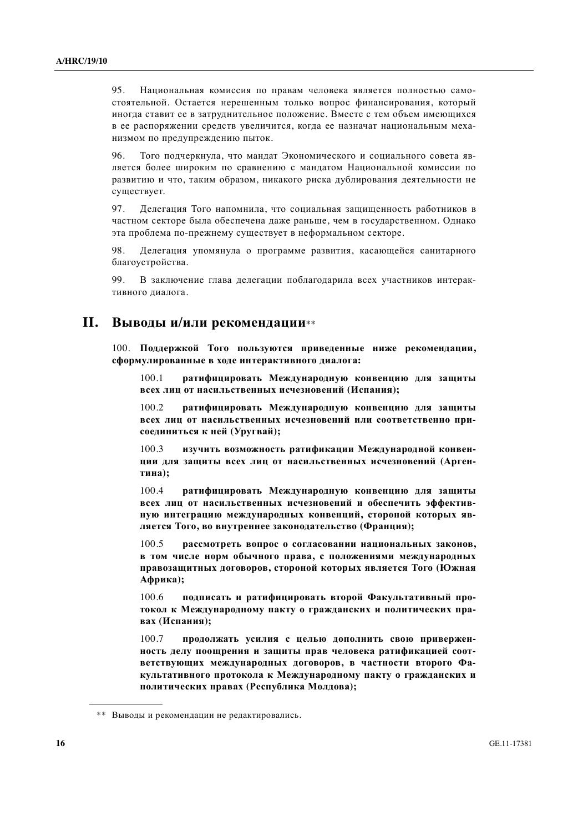95. Национальная комиссия по правам человека является полностью самостоятельной. Остается нерешенным только вопрос финансирования, который иногда ставит ее в затруднительное положение. Вместе с тем объем имеющихся в ее распоряжении средств увеличится, когда ее назначат национальным механизмом по предупреждению пыток.

96. Того подчеркнула, что мандат Экономического и социального совета является более широким по сравнению с мандатом Национальной комиссии по развитию и что, таким образом, никакого риска дублирования деятельности не существует.

97. Делегация Того напомнила, что социальная защищенность работников в частном секторе была обеспечена даже раньше, чем в государственном. Однако эта проблема по-прежнему существует в неформальном секторе.

98. Делегация упомянула о программе развития, касающейся санитарного благоустройства.

99. В заключение глава лелегации поблаголарила всех участников интерактивного лиапога.

## **И.** Выводы и/или рекомендации\*\*

100. Поддержкой Того пользуются приведенные ниже рекомендации,  $c$ формулированные в ходе интерактивного диалога:

100.1 **• ратифицировать Международную конвенцию для защиты всех лиц от насильственных исчезновений (Испания);** 

100.2 **ратифицировать Международную конвенцию для защиты всех лиц от насильственных исчезновений или соответственно при-** $\textbf{coединиться к ней (Уругвай);}$ 

100.3 изучить возможность ратификации Международной конвен-**ЩИИ ДЛЯ ЗАЩИТЫ ВСЕХ ЛИЦ ОТ НАСИЛЬСТВЕННЫХ ИСЧЕЗНОВЕНИЙ (АРГЕН**тина);

100.4 ратифицировать Международную конвенцию для защиты **всех лиц от насильственных исчезновений и обеспечить эффектив-**НУЮ ИНТЕГРАЦИЮ МЕЖДУНАРОДНЫХ КОНВЕНЦИЙ, СТОРОНОЙ КОТОРЫХ ЯВляется Того, во внутреннее законодательство (Франция);

100.5 рассмотреть вопрос о согласовании национальных законов, **в** том числе норм обычного права, с положениями международных правозащитных договоров, стороной которых является Того (Южная  $A$ фрика);

100.6 подписать и ратифицировать второй Факультативный протокол к Международному пакту о гражданских и политических пра**вах** (Испания);

100.7 продолжать усилия с целью дополнить свою привержен-**НОСТЬ ДЕЛУ ПООЩРЕНИЯ И ЗАЩИТЫ ПРАВ ЧЕЛОВЕКА РАТИФИКАЦИЕЙ СООТ-ВЕТСТВУЮЩИХ МЕЖДУНАРОДНЫХ ДОГОВОРОВ, В ЧАСТНОСТИ ВТОРОГО ФАкультативного протокола к Международному пакту о гражданских и** политических правах (Республика Молдова);

<sup>\*\*</sup> Выводы и рекомендации не редактировались.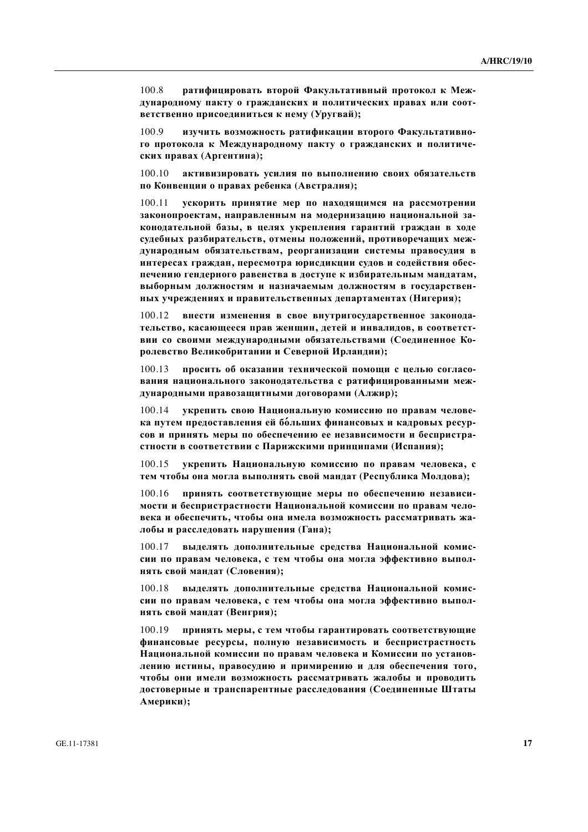100.8 ратифицировать второй Факультативный протокол к Меж-ДУНАРОДНОМУ ПАКТУ О ГРАЖДАНСКИХ И ПОЛИТИЧЕСКИХ ПРАВАХ ИЛИ СООТ- $B$ етственно присоединиться к нему (Уругвай);

100.9 изучить возможность ратификации второго Факультативного протокола к Международному пакту о гражданских и политических правах (Аргентина);

100.10 активизировать усилия по выполнению своих обязательств по Конвенции о правах ребенка (Австралия);

 $100.11$  **УСКОРИТЬ ПРИНЯТИЕ МЕР ПО НАХОЛЯШИМСЯ НА РАССМОТРЕНИИ** Законопроектам, направленным на модернизацию национальной законодательной базы, в целях укрепления гарантий граждан в ходе судебных разбирательств, отмены положений, противоречащих международным обязательствам, реорганизации системы правосудия в интересах граждан, пересмотра юрисдикции судов и содействия обеспечению гендерного равенства в доступе к избирательным мандатам, **ных учреждениях и правительственных департаментах (Нигерия);** 

100.12 внести изменения в свое внутригосударственное законода-Тельство, касающееся прав женщин, детей и инвалидов, в соответст**вии со своими международными обязательствами (Соединенное Ко**ролевство Великобритании и Северной Ирландии);

100.13 иросить об оказании технической помоши с целью согласо**вания национального законодательства с ратифицированными меж**дународными правозащитными договорами (Алжир);

 $100.14$  **• УКРЕПИТЬ СВОЮ НАШИОНАЛЬНУЮ КОМИССИЮ ПО ПРАВАМ ЧЕЛОВЕ**ка путем предоставления ей больших финансовых и кадровых ресурсов и принять меры по обеспечению ее независимости и беспристрастности в соответствии с Парижскими принципами (Испания);

100.15 **укрепить Национальную комиссию по правам человека, с** тем чтобы она могла выполнять свой мандат (Республика Молдова);

100.16 принять соответствующие меры по обеспечению независимости и беспристрастности Национальной комиссии по правам чело**века и обеспечить, чтобы она имела возможность рассматривать жа-** $\pi$ 10бы и расследовать нарушения (Гана);

100.17 выделять дополнительные средства Национальной комиссии по правам человека, с тем чтобы она могла эффективно выпол-**НЯТЬ СВОЙ МАНДАТ (СЛОВЕНИЯ);** 

100.18 выделять дополнительные средства Национальной комиссии по правам человека, с тем чтобы она могла эффективно выпол**нять свой мандат (Венгрия);** 

100.19 принять меры, с тем чтобы гарантировать соответствующие финансовые ресурсы, полную независимость и беспристрастность Национальной комиссии по правам человека и Комиссии по установ-Лению истины, правосудию и примирению и для обеспечения того, чтобы они имели возможность рассматривать жалобы и проводить достоверные и транспарентные расследования (Соединенные Штаты **Америки);**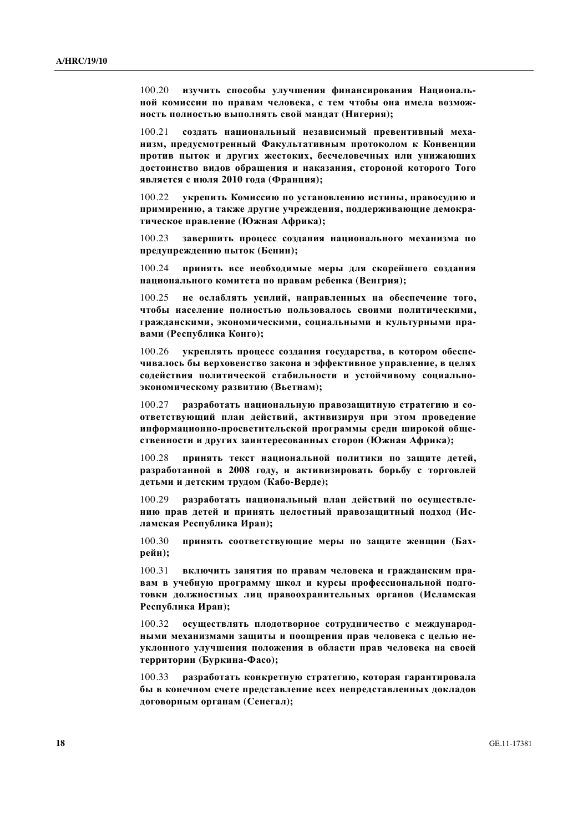100.20 изучить способы улучшения финансирования Националь-**НОЙ КОМИССИИ ПО ПРАВАМ ЧЕЛОВЕКА, С ТЕМ ЧТОбЫ ОНА ИМЕЛА ВОЗМОЖ-НОСТЬ ПОЛНОСТЬЮ ВЫПОЛНЯТЬ СВОЙ МАНДАТ (НИГЕРИЯ);** 

100.21 создать национальный независимый превентивный меха-**НИЗМ, ПРЕДУСМОТРЕННЫЙ ФАКУЛЬТАТИВНЫМ ПРОТОКОЛОМ К КОНВЕНЦИИ** против пыток и других жестоких, бесчеловечных или унижающих достоинство видов обращения и наказания, стороной которого Того **является с июля 2010 года (Франция);** 

100.22 **укрепить Комиссию по установлению истины, правосудию и** примирению, а также другие учреждения, поддерживающие демократическое правление (Южная Африка);

100.23 **завершить процесс создания национального механизма по** предупреждению пыток (Бенин);

100.24 **принять все необходимые меры для скорейшего создания национального комитета по правам ребенка (Венгрия);** 

100.25 не ослаблять усилий, направленных на обеспечение того. чтобы население полностью пользовалось своими политическими, гражданскими, экономическими, социальными и культурными пра**ɜɚɦɢ (Ɋɟɫɩɭɛɥɢɤɚ Ʉɨɧɝɨ);** 

100.26 **укреплять процесс создания государства, в котором обеспе-**УИВАЛОСЬ ОЫ ВЕРХОВЕНСТВО ЗАКОНА И ЭФФЕКТИВНОЕ УПРАВЛЕНИЕ. В ПЕЛЯХ содействия политической стабильности и устойчивому социально- $\cdot$ **3КОНОМИЧЕСКОМУ РАЗВИТИЮ (ВЬЕТНАМ);** 

100.27 разработать национальную правозащитную стратегию и со**ɨɬɜɟɬɫɬɜɭɸɳɢɣ ɩɥɚɧ ɞɟɣɫɬɜɢɣ, ɚɤɬɢɜɢɡɢɪɭɹ ɩɪɢ ɷɬɨɦ ɩɪɨɜɟɞɟɧɢɟ ɢɧɮɨɪɦɚɰɢɨɧɧɨ-ɩɪɨɫɜɟɬɢɬɟɥɶɫɤɨɣ ɩɪɨɝɪɚɦɦɵ ɫɪɟɞɢ ɲɢɪɨɤɨɣ ɨɛɳɟственности и других заинтересованных сторон (Южная Африка);** 

100.28 **принять текст национальной политики по зашите летей.** разработанной в 2008 году, и активизировать борьбу с торговлей **<u>детьми и детским трудом (Кабо-Верде);</u>** 

100.29 **разработать национальный план действий по осуществле-НИЮ ПРАВ ДЕТЕЙ И ПРИНЯТЬ ЦЕЛОСТНЫЙ ПРАВОЗАЩИТНЫЙ ПОДХОД (Ис**ламская Республика Иран);

100.30 принять соответствующие меры по защите женщин (Бах**рейн**);

100.31 включить занятия по правам человека и гражданским пра**вам в учебную программу школ и курсы профессиональной подго**товки должностных лиц правоохранительных органов (Исламская Республика Иран);

100.32 осуществлять плодотворное сотрудничество с международ-**НЫМИ МЕХАНИЗМАМИ ЗАЩИТЫ И ПООЩРЕНИЯ ПРАВ ЧЕЛОВЕКА С ЦЕЛЬЮ НЕ-**УКЛОННОГО УЛУЧШЕНИЯ ПОЛОЖЕНИЯ В Области прав человека на своей  $T$ ерритории (Буркина-Фасо);

100.33 разработать конкретную стратегию, которая гарантировала **ɛɵ ɜ ɤɨɧɟɱɧɨɦ ɫɱɟɬɟ ɩɪɟɞɫɬɚɜɥɟɧɢɟ ɜɫɟɯ ɧɟɩɪɟɞɫɬɚɜɥɟɧɧɵɯ ɞɨɤɥɚɞɨɜ**  $\mu$ оговорным органам (Сенегал);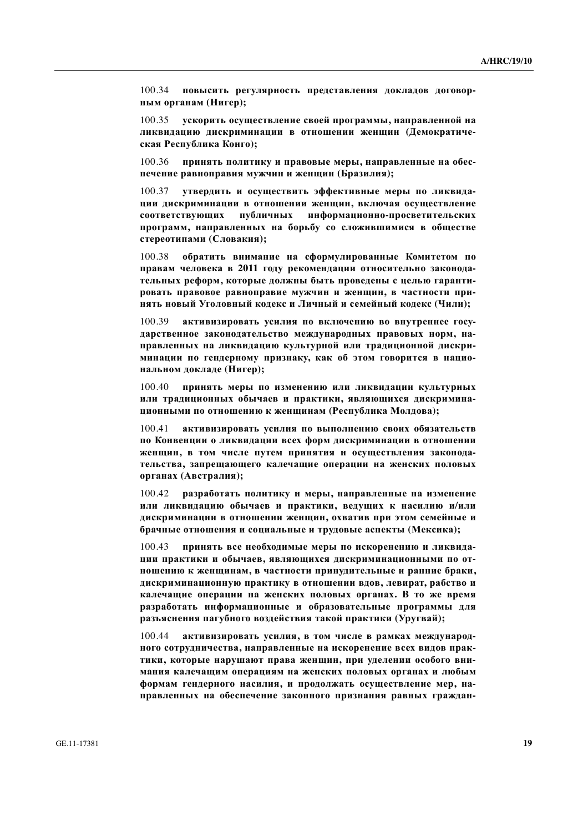100.34 **повысить регулярность представления докладов договорным органам (Нигер);** 

100.35 ускорить осуществление своей программы, направленной на диквидацию дискриминации в отношении женщин (Демократическая Республика Конго);

 $100.36$  принять политику и правовые меры, направленные на обеспечение равноправия мужчин и женщин (Бразилия);

100.37 **УТВЕРДИТЬ И ОСУЩЕСТВИТЬ ЭФФЕКТИВНЫЕ МЕРЫ ПО ЛИКВИДА**ции дискриминации в отношении женщин, включая осуществление коответствующих публичных информационно-просветительских программ, направленных на борьбу со сложившимися в обществе  $c$ тереотипами (Словакия);

100.38 обратить внимание на сформулированные Комитетом по правам человека в 2011 году рекомендации относительно законодательных реформ, которые должны быть проведены с целью гарантировать правовое равноправие мужчин и женщин, в частности при-**НЯТЬ НОВЫЙ УГОЛОВНЫЙ КОДЕКС И ЛИЧНЫЙ И СЕМЕЙНЫЙ КОДЕКС (ЧИЛИ);** 

100.39 активизировать усилия по включению во внутреннее государственное законодательство международных правовых норм, направленных на ликвидацию культурной или традиционной дискри**минации по гендерному признаку, как об этом говорится в национальном докладе (Нигер);** 

100.40 **принять меры по изменению или ликвидации культурных** ИЛИ ТРАДИЦИОННЫХ ОбЫЧАЄВ И ПРАКТИКИ, ЯВЛЯЮЩИХСЯ ДИСКРИМИНА**шионными по отношению к женщинам (Республика Молдова);** 

100.41 активизировать усилия по выполнению своих обязательств по Конвенции о ликвидации всех форм дискриминации в отношении ЖЕНЩИН, В ТОМ ЧИСЛЕ ПУТЕМ ПРИНЯТИЯ И ОСУЩЕСТВЛЕНИЯ ЗАКОНОДАтельства, запрещающего калечащие операции на женских половых  $i$ **врганах** (Австралия);

100.42 **разработать политику и меры, направленные на изменение или ликвидацию обычаев и практики, ведущих к насилию и/или** ДИСКРИМИНАЦИИ В ОТНОШЕНИИ ЖЕНЩИН, ОХВАТИВ ПРИ ЭТОМ СЕМЕЙНЫЕ И  $6$ рачные отношения и социальные и трудовые аспекты (Мексика);

100.43 принять все необходимые меры по искоренению и ликвида-**ЩИИ ПРАКТИКИ И ОбЫЧАЕВ, ЯВЛЯЮЩИХСЯ ДИСКРИМИНАЦИОННЫМИ ПО ОТношению к женщинам, в частности принудительные и ранние браки,** дискриминационную практику в отношении вдов, левират, рабство и **калечащие операции на женских половых органах. В то же время разработать информационные и образовательные программы для** разьяснения пагубного воздействия такой практики (Уругвай);

100.44 активизировать усилия, в том числе в рамках международ-**НОГО СОТРУДНИЧЕСТВА, НАПРАВЛЕННЫЕ НА ИСКОРЕНЕНИЕ ВСЕХ ВИДОВ ПРАК**тики, которые нарушают права женщин, при уделении особого вни**мания калечащим операциям на женских половых органах и любым**  $\phi$ формам гендерного насилия, и продолжать осуществление мер, направленных на обеспечение законного признания равных граждан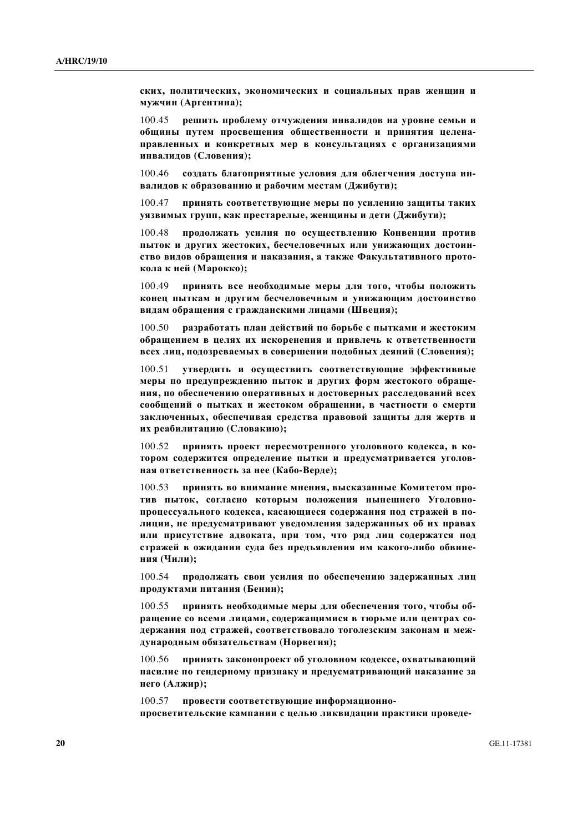ских, политических, экономических и социальных прав женщин и **ɦɭɠɱɢɧ (Ⱥɪɝɟɧɬɢɧɚ);** 

100.45 **решить проблему отчуждения инвалидов на уровне семьи и и тринятия путем просвещения общественности и принятия целена**правленных и конкретных мер в консультациях с организациями **ɢɧɜɚɥɢɞɨɜ (ɋɥɨɜɟɧɢɹ);** 

100.46 создать благоприятные условия для облегчения доступа ин**валидов к образованию и рабочим местам (Джибути);** 

100.47 **ПРИНЯТЬ СООТВЕТСТВУЮЩИЕ МЕРЫ ПО УСИЛЕНИЮ ЗАШИТЫ ТАКИХ** уязвимых групп, как престарелые, женщины и дети (Джибути);

100.48 продолжать усилия по осуществлению Конвенции против пыток и других жестоких, бесчеловечных или унижающих достоинство видов обращения и наказания, а также Факультативного прото**кола к ней (Марокко);** 

100.49 **принять все необходимые меры для того, чтобы положить** конец пыткам и другим бесчеловечным и унижающим достоинство **видам обращения с гражданскими лицами (Швеция);** 

100.50 **разработать план действий по борьбе с пытками и жестоким иела в целях их искоренения и привлечь к ответственности всех лиц, подозреваемых в совершении подобных деяний (Словения);** 

100.51 **УТВЕРДИТЬ И ОСУШЕСТВИТЬ СООТВЕТСТВУЮШИЕ ЭФФЕКТИВНЫЕ** меры по предупреждению пыток и других форм жестокого обраще-НИЯ, ПО Обеспечению оперативных и достоверных расследований всех  $\boldsymbol{\mu}$  **и**  $\boldsymbol{\mu}$  **и**  $\boldsymbol{\mu}$  **и**  $\boldsymbol{\mu}$  **и**  $\boldsymbol{\mu}$   $\boldsymbol{\mu}$   $\boldsymbol{\mu}$   $\boldsymbol{\mu}$   $\boldsymbol{\mu}$   $\boldsymbol{\mu}$   $\boldsymbol{\mu}$   $\boldsymbol{\mu}$   $\boldsymbol{\mu}$   $\boldsymbol{\mu}$   $\boldsymbol{\mu}$   $\boldsymbol{\mu}$   $\boldsymbol{\mu}$   $\boldsymbol{\mu}$   $\boldsymbol{\mu}$  **\boldsymbol{\** заключенных, обеспечивая средства правовой защиты для жертв и **их реабилитацию (Словакию);** 

100.52 **принять проект пересмотренного уголовного кодекса, в ко**тором содержится определение пытки и предусматривается уголов**ная ответственность за нее (Кабо-Верде);** 

100.53 принять во внимание мнения, высказанные Комитетом против пыток, согласно которым положения нынешнего Уголовнопроцессуального кодекса, касающиеся содержания под стражей в полиции, не предусматривают уведомления задержанных об их правах **или присутствие адвоката, при том, что ряд лиц содержатся под** стражей в ожидании суда без предъявления им какого-либо обвине**ния** (Чили);

100.54 **продолжать свои усилия по обеспечению задержанных лиц** продуктами питания (Бенин);

100.55 принять необходимые меры для обеспечения того, чтобы об**ращение со всеми лицами, содержащимися в тюрьме или центрах со**держания под стражей, соответствовало тоголезским законам и международным обязательствам (Норвегия);

100.56 принять законопроект об уголовном кодексе, охватывающий **НАСИЛИЕ ПО ГЕНДЕРНОМУ ПРИЗНАКУ И ПРЕДУСМАТРИВАЮЩИЙ НАКАЗАНИЕ ЗА него** (Алжир);

100.57 провести соответствующие информационно-ПРОСВЕТИТЕЛЬСКИЕ КАМПАНИИ С ЦЕЛЬЮ ЛИКВИДАЦИИ ПРАКТИКИ ПРОВЕДЕ-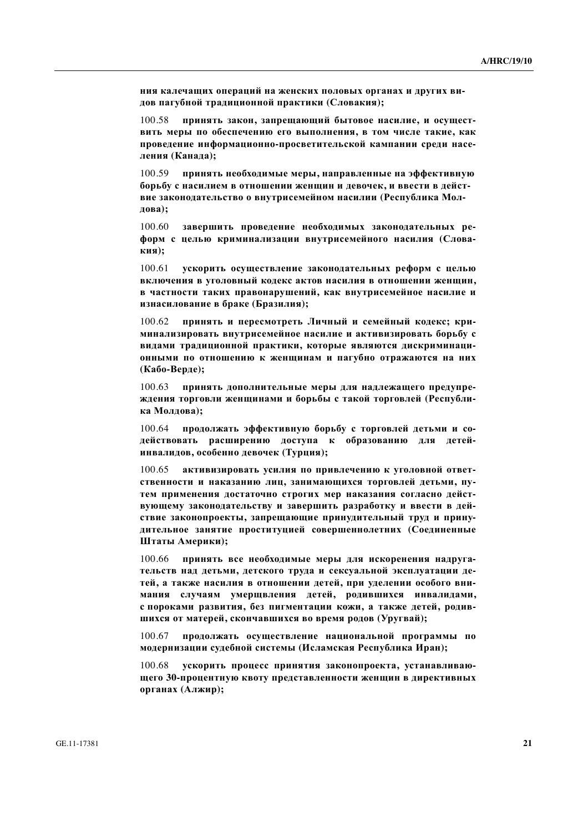**НИЯ КАЛЕЧАЩИХ ОПЕРАЦИЙ НА ЖЕНСКИХ ПОЛОВЫХ ОРГАНАХ И ДРУГИХ ВИ**дов пагубной традиционной практики (Словакия);

100.58 **принять закон, запрещающий бытовое насилие, и осущест-ВИТЬ МЕРЫ ПО Обеспечению его выполнения, в том числе такие, как** проведение информационно-просветительской кампании среди насе- $\pi$ ения (Канада);

100.59 принять необходимые меры, направленные на эффективную **борьбу с насилием в отношении женщин и девочек, и ввести в действие законодательство о внутрисемейном насилии (Республика Молдова**);

100.60 завершить проведение необходимых законодательных ре- $\phi$ форм с целью криминализации внутрисемейного насилия (Слова**ɤɢɹ);** 

100.61 **ускорить осуществление законодательных реформ с целью** ВКЛЮЧЕНИЯ В УГОЛОВНЫЙ КОДЕКС АКТОВ НАСИЛИЯ В ОТНОШЕНИИ ЖЕНЩИН, **в частности таких правонарушений, как внутрисемейное насилие и изнасилование в браке (Бразилия);** 

 $100.62$  **принять и пересмотреть Личный и семейный колекс: кри**минализировать внутрисемейное насилие и активизировать борьбу с **видами традиционной практики, которые являются дискриминацииными по отношению к женщинам и пагубно отражаются на них** (Кабо-Верде);

100.63 принять дополнительные меры для надлежащего предупре-ЖДЕНИЯ ТОРГОВЛИ ЖЕНЩИНАМИ И бОРЬбЫ С ТАКОЙ ТОРГОВЛЕЙ (РЕСПУбЛИ**ка Моллова**):

100.64 **продолжать эффективную борьбу с торговлей детьми и со**действовать расширению доступа к образованию для детей**инвалидов, особенно девочек (Турция);** 

100.65 активизировать усилия по привлечению к уголовной ответ-СТВЕННОСТИ И НАКАЗАНИЮ ЛИЦ, ЗАНИМАЮЩИХСЯ ТОРГОВЛЕЙ ДЕТЬМИ, ПУтем применения достаточно строгих мер наказания согласно дейст**вующему законодательству и завершить разработку и ввести в дей**ствие законопроекты, запрещающие принудительный труд и принудительное занятие проституцией совершеннолетних (Соединенные **Штаты Америки**);

100.66 принять все необходимые меры для искоренения надруга-ТЕЛЬСТВ НАД ДЕТЬМИ, ДЕТСКОГО ТРУДА И СЕКСУАЛЬНОЙ ЭКСПЛУАТАЦИИ ДЕтей, а также насилия в отношении детей, при уделении особого вни**мания случаям умерщвления детей, родившихся инвалидами,** с пороками развития, без пигментации кожи, а также детей, родив**шихся от матерей, скончавшихся во время родов (Уругвай);** 

100.67 продолжать осуществление национальной программы по модернизации судебной системы (Исламская Республика Иран);

100.68 **ускорить процесс принятия законопроекта, устанавливаю-Шего 30-процентную квоту представленности женщин в директивных**  $\Phi$  (**A** $\Phi$ **)**;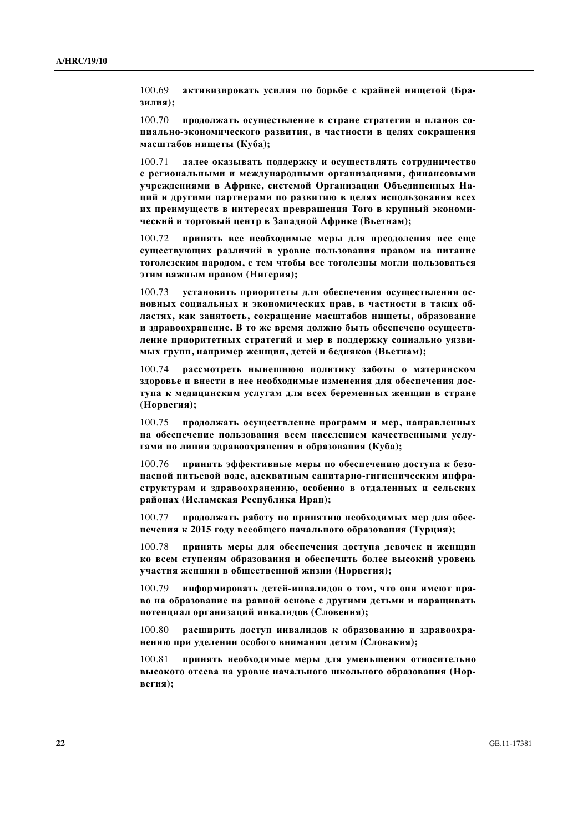100.69 активизировать усилия по борьбе с крайней нищетой (Бра**зилия**);

100.70 продолжать осуществление в стране стратегии и планов со**ɰɢɚɥɶɧɨ-ɷɤɨɧɨɦɢɱɟɫɤɨɝɨ ɪɚɡɜɢɬɢɹ, ɜ ɱɚɫɬɧɨɫɬɢ ɜ ɰɟɥɹɯ ɫɨɤɪɚɳɟɧɢɹ ɦɚɫɲɬɚɛɨɜ ɧɢɳɟɬɵ (Ʉɭɛɚ);**

**100.71** иалее оказывать поллержку и осуществлять сотрудничество с региональными и международными организациями, финансовыми **ɭɱɪɟɠɞɟɧɢɹɦɢ ɜ Ⱥɮɪɢɤɟ, ɫɢɫɬɟɦɨɣ Ɉɪɝɚɧɢɡɚɰɢɢ Ɉɛɴɟɞɢɧɟɧɧɵɯ ɇɚ-ЩИЙ И ДРУГИМИ ПАРТНЕРАМИ ПО РАЗВИТИЮ В ЦЕЛЯХ ИСПОЛЬЗОВАНИЯ ВСЕХ** их преимуществ в интересах превращения Того в крупный экономический и торговый центр в Западной Африке (Вьетнам);

100.72 **принять все необходимые меры для преодоления все еще** существующих различий в уровне пользования правом на питание тоголезским народом, с тем чтобы все тоголезцы могли пользоваться **ЭТИМ ВАЖНЫМ ПРАВОМ (НИГЕРИЯ);** 

100.73 **установить приоритеты для обеспечения осуществления ос-НОВНЫХ СОЦИАЛЬНЫХ И ЭКОНОМИЧЕСКИХ ПРАВ, В ЧАСТНОСТИ В ТАКИХ Об**дастях, как занятость, сокращение масштабов нищеты, образование **и здравоохранение. В то же время должно быть обеспечено осуществ**ление приоритетных стратегий и мер в поддержку социально уязви- $M$ ЫХ Групп, например женщин, детей и бедняков (Вьетнам);

100.74 **ВАССМОТВЕТЬ НЫНЕШНЮЮ ПОЛИТИКУ ЗАбОТЫ О МАТЕРИНСКОМ** здоровье и внести в нее необходимые изменения для обеспечения доступа к медицинским услугам для всех беременных женщин в стране (Норвегия);

100.75 продолжать осуществление программ и мер, направленных на обеспечение пользования всем населением качественными услу-Гами по линии здравоохранения и образования (Куба);

100.76 **принять эффективные меры по обеспечению доступа к безо**пасной питьевой воде, адекватным санитарно-гигиеническим инфра $c$ труктурам и здравоохранению, особенно в отдаленных и сельских районах (Исламская Республика Иран);

100.77 продолжать работу по принятию необходимых мер для обеспечения к 2015 году всеобщего начального образования (Турция);

100.78 **принять меры для обеспечения доступа девочек и женщин** ко всем ступеням образования и обеспечить более высокий уровень **участия женщин в общественной жизни (Норвегия);** 

100.79 информировать детей-инвалидов о том, что они имеют пра**во на образование на равной основе с другими детьми и наращивать** потенциал организаций инвалидов (Словения);

100.80 расширить доступ инвалидов к образованию и здравоохранению при уделении особого внимания детям (Словакия);

100.81 принять необходимые меры для уменьшения относительно **высокого отсева на уровне начального школьного образования (Норвегия**);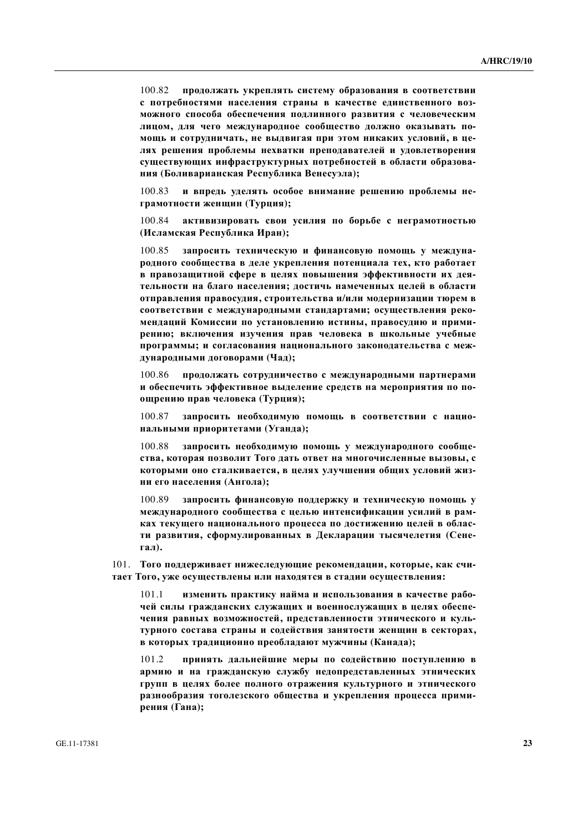100.82 **продолжать укреплять систему образования в соответствии** с потребностями населения страны в качестве единственного воз**можного способа обеспечения подлинного развития с человеческим** лицом, для чего международное сообщество должно оказывать по-МОЩЬ И СОТРУДНИЧАТЬ, НЕ ВЫДВИГАЯ ПРИ ЭТОМ НИКАКИХ УСЛОВИЙ, В ЦЕдях решения проблемы нехватки преподавателей и удовлетворения существующих инфраструктурных потребностей в области образова**ния (Боливарианская Республика Венесуэла);** 

100.83 и впредь уделять особое внимание решению проблемы неграмотности женщин (Турция);

100.84 активизировать свои усилия по борьбе с неграмотностью **(ɂɫɥɚɦɫɤɚɹ Ɋɟɫɩɭɛɥɢɤɚ ɂɪɚɧ);**

100.85 запросить техническую и финансовую помощь у междуна**родного сообщества в деле укрепления потенциала тех, кто работает в правозащитной сфере в целях повышения эффективности их дея**тельности на благо населения; достичь намеченных целей в области **утправления правосудия, строительства и/или модернизации тюрем в** соответствии с международными стандартами; осуществления реко**мендаций Комиссии по установлению истины, правосудию и прими** $p$ ению; включения изучения прав человека в школьные учебные программы; и согласования национального законодательства с меж- $\alpha$ ународными договорами (Чад);

100.86 продолжать сотрудничество с международными партнерами **и обеспечить эффективное выделение средств на мероприятия по поощрению прав человека (Турция);** 

100.87 запросить необходимую помощь в соответствии с нацио-**НАЛЬНЫМИ ПРИОРИТЕТАМИ (УГАНДА);** 

100.88 запросить необходимую помощь у международного сообще**ства**, которая позволит Того дать ответ на многочисленные вызовы, с которыми оно сталкивается, в целях улучшения общих условий жиз**ни его населения (Ангола);** 

100.89 запросить финансовую поддержку и техническую помощь у международного сообщества с целью интенсификации усилий в рамках текущего национального процесса по достижению целей в области развития, сформулированных в Декларации тысячелетия (Сенеraл).

101. Того поддерживает нижеследующие рекомендации, которые, как считает Того, уже осуществлены или находятся в стадии осуществления:

101.1 изменить практику найма и использования в качестве рабочей силы гражданских служащих и военнослужащих в целях обеспечения равных возможностей, представленности этнического и культурного состава страны и содействия занятости женщин в секторах, **в которых традиционно преобладают мужчины (Канада);** 

101.2 принять дальнейшие меры по содействию поступлению в армию и на гражданскую службу недопредставленных этнических групп в целях более полного отражения культурного и этнического разнообразия тоголезского общества и укрепления процесса прими**рения** (Гана);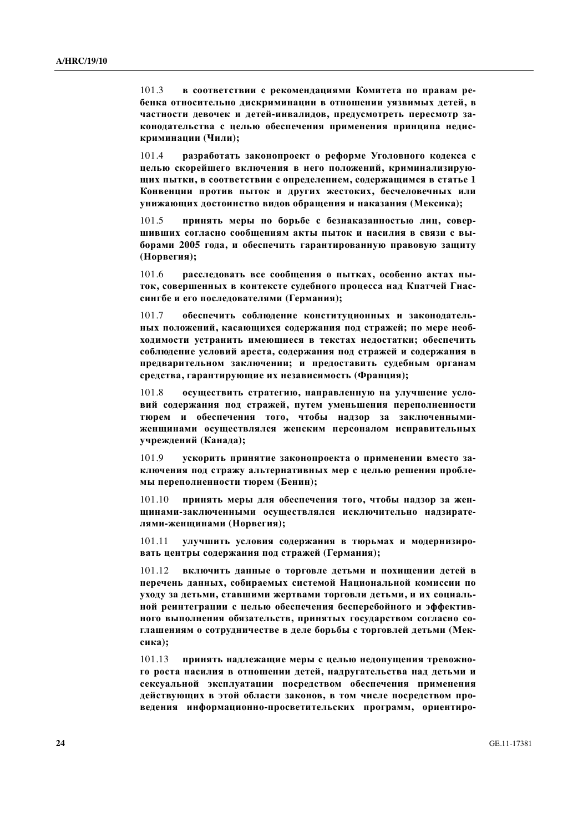101.3 **в соответствии с рекомендациями Комитета по правам ре**бенка относительно дискриминации в отношении уязвимых детей, в частности девочек и детей-инвалидов, предусмотреть пересмотр законодательства с целью обеспечения применения принципа недис**криминации** (Чили);

101.4 **разработать законопроект о реформе Уголовного кодекса с** целью скорейшего включения в него положений, криминализирую-**ЩИХ ПЫТКИ, В СООТВЕТСТВИИ С ОПРЕДЕЛЕНИЕМ, СОДЕРЖАЩИМСЯ В СТАТЬЕ 1** Конвенции против пыток и других жестоких, бесчеловечных или унижающих достоинство видов обращения и наказания (Мексика);

101.5 **принять меры по борьбе с безнаказанностью лиц, совер**шивших согласно сообщениям акты пыток и насилия в связи с вы- $6$ орами 2005 года, и обеспечить гарантированную правовую защиту (Норвегия);

101.6 расследовать все сообщения о пытках, особенно актах пыток, совершенных в контексте судебного процесса над Кпатчей Гнассингбе и его последователями (Германия);

101.7 обеспечить соблюдение конституционных и законодатель-**НЫХ ПОЛОЖЕНИЙ, КАСАЮЩИХСЯ СОДЕРЖАНИЯ ПОД СТРАЖЕЙ; ПО МЕРЕ НЕОбиодимости устранить имеющиеся в текстах недостатки; обеспечить** соблюдение условий ареста, содержания под стражей и содержания в предварительном заключении; и предоставить судебным органам средства, гарантирующие их независимость (Франция);

101.8 осуществить стратегию, направленную на улучшение усло**вий содержания под стражей, путем уменьшения переполненности** тюрем и обеспечения того, чтобы надзор за заключенными-Женщинами осуществлялся женским персоналом исправительных **ɭɱɪɟɠɞɟɧɢɣ (Ʉɚɧɚɞɚ);** 

101.9 **ускорить принятие законопроекта о применении вместо за**ключения под стражу альтернативных мер с целью решения пробле- $M$ Ы Переполненности тюрем (Бенин);

 $101.10$  принять меры для обеспечения того, чтобы надзор за женшинами-заключенными осуществлялся исключительно надзирате- $\boldsymbol{\pi}$ ями-женщинами (Норвегия);

101.11 улучшить условия содержания в тюрьмах и модернизиро**вать центры содержания под стражей (Германия);** 

101.12 включить данные о торговле детьми и похищении детей в перечень данных, собираемых системой Национальной комиссии по уходу за детьми, ставшими жертвами торговли детьми, и их социальной реинтеграции с целью обеспечения бесперебойного и эффектив-**НОГО ВЫПОЛНЕНИЯ ОбЯЗАТЕЛЬСТВ, ПРИНЯТЫХ ГОСУДАРСТВОМ СОГЛАСНО СО**глашениям о сотрудничестве в деле борьбы с торговлей детьми (Мек**сика**);

101.13 принять надлежащие меры с целью недопущения тревожного роста насилия в отношении детей, надругательства над детьми и сексуальной эксплуатации посредством обеспечения применения действующих в этой области законов, в том числе посредством про**ведения** информационно-просветительских программ, ориентиро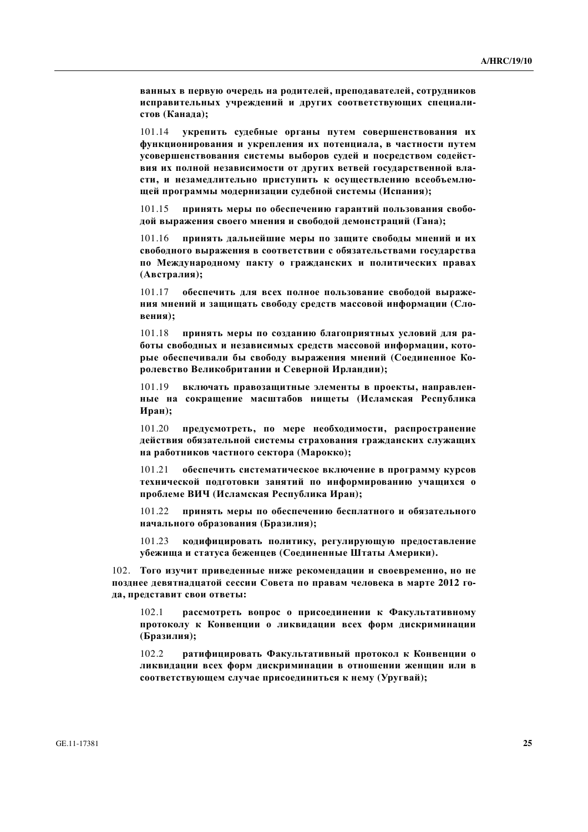**ванных в первую очередь на родителей, преподавателей, сотрудников** исправительных учреждений и других соответствующих специали $cr$ 0в (Канада);

101.14 **укрепить судебные органы путем совершенствования их**  $\phi$ ункционирования и укрепления их потенциала, в частности путем усовершенствования системы выборов судей и посредством содейст**вия их полной независимости от других ветвей государственной вла**сти, и незамедлительно приступить к осуществлению всеобъемлю**шей программы модернизации судебной системы (Испания);** 

101.15 принять меры по обеспечению гарантий пользования свободой выражения своего мнения и свободой демонстраций (Гана);

101.16 **принять дальнейшие меры по зашите своболы мнений и их** свободного выражения в соответствии с обязательствами государства по Международному пакту о гражданских и политических правах (Австралия);

 $101.17$  **обеспечить для всех полное пользование свободой выражения мнений и защищать свободу средств массовой информации (Словения**);

 $101.18$  принять меры по созланию благоприятных условий лля ра**боты свободных и независимых средств массовой информации, кото**рые обеспечивали бы свободу выражения мнений (Соединенное Королевство Великобритании и Северной Ирландии);

101.19 включать правозащитные элементы в проекты, направлен**ные на сокращение масштабов нищеты (Исламская Республика ɂɪɚɧ);**

101.20 предусмотреть, по мере необходимости, распространение действия обязательной системы страхования гражданских служащих **на работников частного сектора (Марокко);** 

101.21 обеспечить систематическое включение в программу курсов Технической подготовки занятий по информированию учащихся о проблеме ВИЧ (Исламская Республика Иран);

101.22 принять меры по обеспечению бесплатного и обязательного **ɧɚɱɚɥɶɧɨɝɨ ɨɛɪɚɡɨɜɚɧɢɹ (Ȼɪɚɡɢɥɢɹ);**

101.23 кодифицировать политику, регулирующую предоставление убежища и статуса беженцев (Соединенные Штаты Америки).

102. Того изучит приведенные ниже рекомендации и своевременно, но не позднее девятнадцатой сессии Совета по правам человека в марте 2012 го- $\boldsymbol{\mu}$ а, представит свои ответы:

102.1 рассмотреть вопрос о присоединении к Факультативному протоколу к Конвенции о ликвидации всех форм дискриминации (Бразилия);

102.2 ратифицировать Факультативный протокол к Конвенции о диквидации всех форм дискриминации в отношении женщин или в соответствующем случае присоединиться к нему (Уругвай);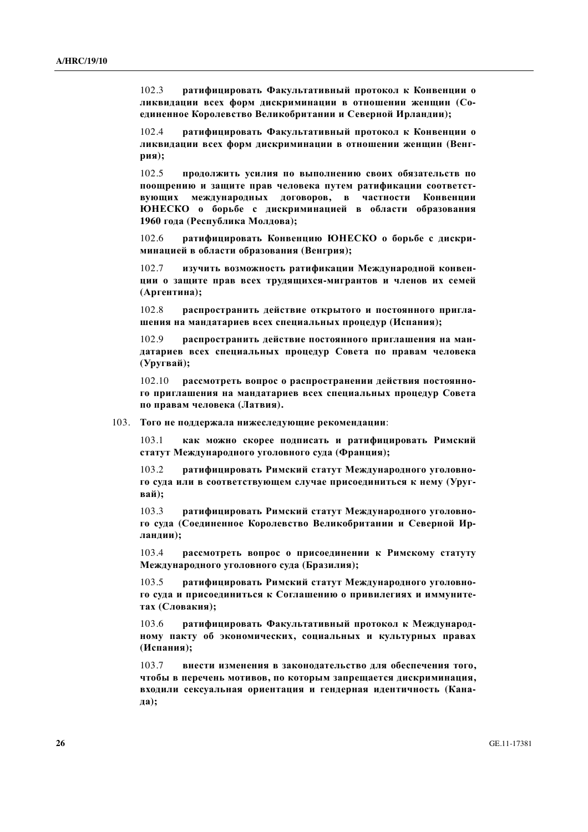102.3 ратифицировать Факультативный протокол к Конвенции о ликвидации всех форм дискриминации в отношении женщин (Соединенное Королевство Великобритании и Северной Ирландии);

102.4 **ратифицировать Факультативный протокол к Конвенции о** диквидации всех форм дискриминации в отношении женщин (Венг**рия**);

102.5 продолжить усилия по выполнению своих обязательств по поощрению и защите прав человека путем ратификации соответст**вующих международных договоров, в частности Конвенции** ЮНЕСКО о борьбе с дискриминацией в области образования 1960 года (Республика Молдова);

102.6 **• ратифицировать Конвенцию ЮНЕСКО о борьбе с лискри**минацией в области образования (Венгрия);

102.7 изучить возможность ратификации Международной конвен**иии о защите прав всех трудящихся-мигрантов и членов их семей** (Аргентина);

102.8 **васпространить действие открытого и постоянного пригла**шения на мандатариев всех специальных процедур (Испания);

102.9 распространить действие постоянного приглашения на мандатариев всех специальных процедур Совета по правам человека (Уругвай);

102.10 рассмотреть вопрос о распространении действия постоянного приглашения на мандатариев всех специальных процедур Совета по правам человека (Латвия).

103. Того не поддержала нижеследующие рекомендации:

103.1 **как можно скорее подписать и ратифицировать Римский статут Международного уголовного суда (Франция);** 

103.2 ратифицировать Римский статут Международного уголовного суда или в соответствующем случае присоединиться к нему (Уруг**вай**):

103.3 ратифицировать Римский статут Международного уголовного суда (Соединенное Королевство Великобритании и Северной Ир**ландии);** 

103.4 рассмотреть вопрос о присоединении к Римскому статуту Международного уголовного суда (Бразилия);

103.5 ратифицировать Римский статут Международного уголовного суда и присоединиться к Соглашению о привилегиях и иммуните-**ТАХ** (Словакия);

103.6 ратифицировать Факультативный протокол к Международ-**НОМУ ПАКТУ Об ЭКОНОМИЧЕСКИХ, СОЦИАЛЬНЫХ И КУЛЬТУРНЫХ ПРАВАХ** (Испания);

103.7 внести изменения в законодательство для обеспечения того, чтобы в перечень мотивов, по которым запрещается дискриминация, входили сексуальная ориентация и гендерная идентичность (Кана**ɞɚ);**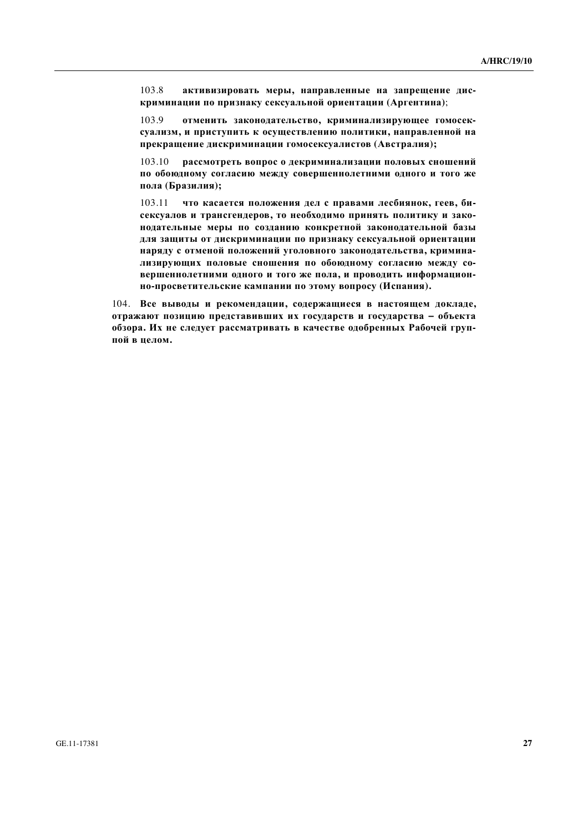103.8 активизировать меры, направленные на запрещение дис**криминации по признаку сексуальной ориентации (Аргентина);** 

103.9 отменить законодательство, криминализирующее гомосексуализм, и приступить к осуществлению политики, направленной на прекращение дискриминации гомосексуалистов (Австралия);

103.10 рассмотреть вопрос о декриминализации половых сношений по обоюдному согласию между совершеннолетними одного и того же пола (Бразилия);

 $103.11$  **что касается положения дел с правами лесбиянок, геев, би**сексуалов и трансгендеров, то необходимо принять политику и зако-**НОДАТЕЛЬНЫЕ МЕРЫ ПО СОЗДАНИЮ КОНКРЕТНОЙ ЗАКОНОДАТЕЛЬНОЙ бАЗЫ** для защиты от дискриминации по признаку сексуальной ориентации **наряду с отменой положений уголовного законодательства, кримина**лизирующих половые сношения по обоюдному согласию между со**вершеннолетними одного и того же пола, и проводить информацион-**НО-ПРОСВЕТИТЕЛЬСКИЕ КАМПАНИИ ПО ЭТОМУ ВОПРОСУ (Испания).

104. Все выводы и рекомендации, содержащиеся в настоящем докладе, **итражают позицию представивших их государств и государства - объекта обзора. Их не следует рассматривать в качестве одобренных Рабочей группой в целом.**